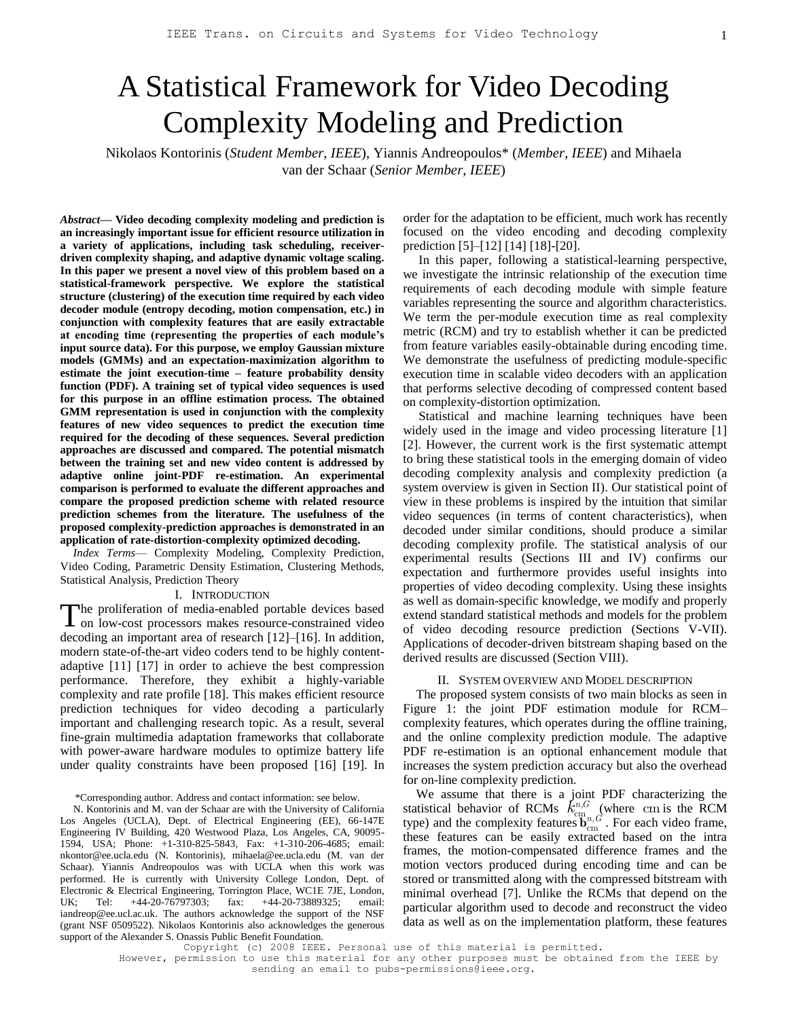# A Statistical Framework for Video Decoding Complexity Modeling and Prediction

Nikolaos Kontorinis (*Student Member*, *IEEE*), Yiannis Andreopoulos\* (*Member*, *IEEE*) and Mihaela van der Schaar (*Senior Member, IEEE*)

*Abstract***— Video decoding complexity modeling and prediction is an increasingly important issue for efficient resource utilization in a variety of applications, including task scheduling, receiverdriven complexity shaping, and adaptive dynamic voltage scaling. In this paper we present a novel view of this problem based on a statistical-framework perspective. We explore the statistical structure (clustering) of the execution time required by each video decoder module (entropy decoding, motion compensation, etc.) in conjunction with complexity features that are easily extractable at encoding time (representing the properties of each module's input source data). For this purpose, we employ Gaussian mixture models (GMMs) and an expectation-maximization algorithm to estimate the joint execution-time – feature probability density function (PDF). A training set of typical video sequences is used for this purpose in an offline estimation process. The obtained GMM representation is used in conjunction with the complexity features of new video sequences to predict the execution time required for the decoding of these sequences. Several prediction approaches are discussed and compared. The potential mismatch between the training set and new video content is addressed by adaptive online joint-PDF re-estimation. An experimental comparison is performed to evaluate the different approaches and compare the proposed prediction scheme with related resource prediction schemes from the literature. The usefulness of the proposed complexity-prediction approaches is demonstrated in an application of rate-distortion-complexity optimized decoding.** 

*Index Terms*— Complexity Modeling, Complexity Prediction, Video Coding, Parametric Density Estimation, Clustering Methods, Statistical Analysis, Prediction Theory

#### I. INTRODUCTION

**The proliferation of media-enabled portable devices based** The proliferation of media-enabled portable devices based<br>on low-cost processors makes resource-constrained video decoding an important area of research [12]–[16]. In addition, modern state-of-the-art video coders tend to be highly contentadaptive [11] [17] in order to achieve the best compression performance. Therefore, they exhibit a highly-variable complexity and rate profile [18]. This makes efficient resource prediction techniques for video decoding a particularly important and challenging research topic. As a result, several fine-grain multimedia adaptation frameworks that collaborate with power-aware hardware modules to optimize battery life under quality constraints have been proposed [16] [19]. In

\*Corresponding author. Address and contact information: see below.

N. Kontorinis and M. van der Schaar are with the University of California Los Angeles (UCLA), Dept. of Electrical Engineering (EE), 66-147E Engineering IV Building, 420 Westwood Plaza, Los Angeles, CA, 90095- 1594, USA; Phone: +1-310-825-5843, Fax: +1-310-206-4685; email: nkontor@ee.ucla.edu (N. Kontorinis), mihaela@ee.ucla.edu (M. van der Schaar). Yiannis Andreopoulos was with UCLA when this work was performed. He is currently with University College London, Dept. of Electronic & Electrical Engineering, Torrington Place, WC1E 7JE, London, UK; Tel: +44-20-76797303; fax: +44-20-73889325; email: iandreop@ee.ucl.ac.uk. The authors acknowledge the support of the NSF (grant NSF 0509522). Nikolaos Kontorinis also acknowledges the generous support of the Alexander S. Onassis Public Benefit Foundation.

order for the adaptation to be efficient, much work has recently focused on the video encoding and decoding complexity prediction [5]–[12] [14] [18]-[20].

In this paper, following a statistical-learning perspective, we investigate the intrinsic relationship of the execution time requirements of each decoding module with simple feature variables representing the source and algorithm characteristics. We term the per-module execution time as real complexity metric (RCM) and try to establish whether it can be predicted from feature variables easily-obtainable during encoding time. We demonstrate the usefulness of predicting module-specific execution time in scalable video decoders with an application that performs selective decoding of compressed content based on complexity-distortion optimization.

Statistical and machine learning techniques have been widely used in the image and video processing literature [1] [2]. However, the current work is the first systematic attempt to bring these statistical tools in the emerging domain of video decoding complexity analysis and complexity prediction (a system overview is given in Section II). Our statistical point of view in these problems is inspired by the intuition that similar video sequences (in terms of content characteristics), when decoded under similar conditions, should produce a similar decoding complexity profile. The statistical analysis of our experimental results (Sections III and IV) confirms our expectation and furthermore provides useful insights into properties of video decoding complexity. Using these insights as well as domain-specific knowledge, we modify and properly extend standard statistical methods and models for the problem of video decoding resource prediction (Sections V-VII). Applications of decoder-driven bitstream shaping based on the derived results are discussed (Section VIII).

#### II. SYSTEM OVERVIEW AND MODEL DESCRIPTION

The proposed system consists of two main blocks as seen in Figure 1: the joint PDF estimation module for RCM– complexity features, which operates during the offline training, and the online complexity prediction module. The adaptive PDF re-estimation is an optional enhancement module that increases the system prediction accuracy but also the overhead for on-line complexity prediction.

We assume that there is a joint PDF characterizing the statistical behavior of RCMs  $\vec{k}_{cm}^{n,G}$  (where cm is the RCM type) and the complexity features  $\mathbf{b}_{cm}^{in,G}$ . For each video frame, these features can be easily extracted based on the intra frames, the motion-compensated difference frames and the motion vectors produced during encoding time and can be stored or transmitted along with the compressed bitstream with minimal overhead [7]. Unlike the RCMs that depend on the particular algorithm used to decode and reconstruct the video data as well as on the implementation platform, these features

Copyright (c) 2008 IEEE. Personal use of this material is permitted.

However, permission to use this material for any other purposes must be obtained from the IEEE by sending an email to pubs-permissions@ieee.org.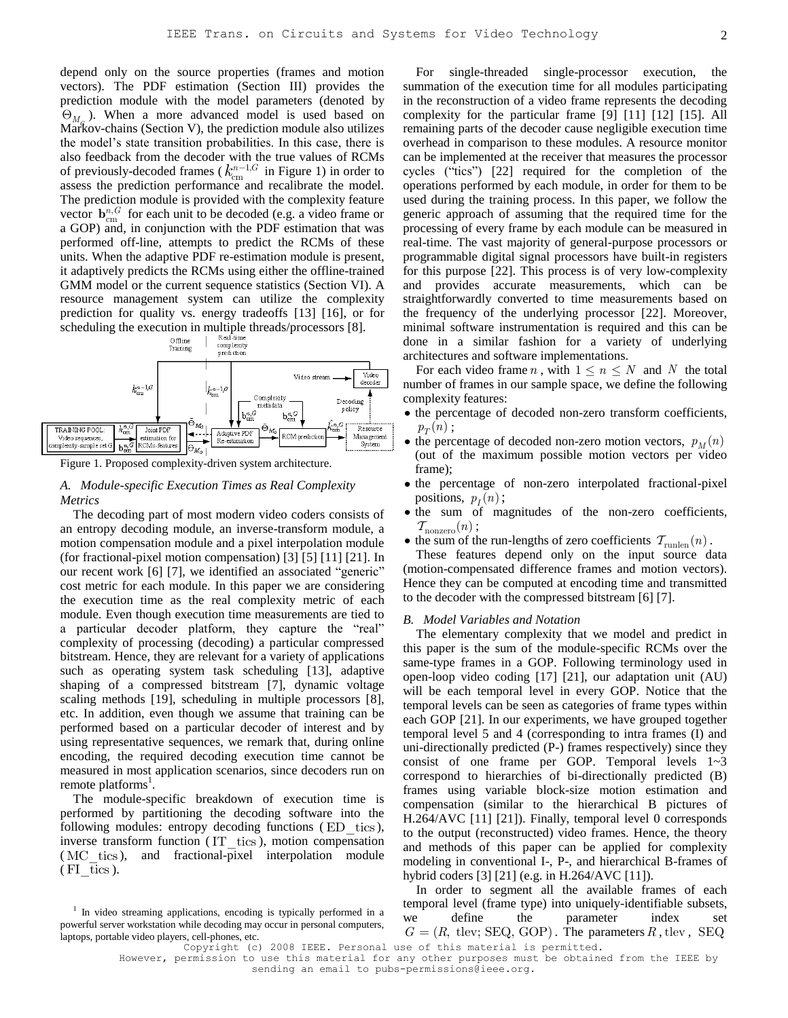depend only on the source properties (frames and motion vectors). The PDF estimation (Section III) provides the prediction module with the model parameters (denoted by  $\Theta_{M_q}$ ). When a more advanced model is used based on Markov-chains (Section V), the prediction module also utilizes the model's state transition probabilities. In this case, there is also feedback from the decoder with the true values of RCMs of previously-decoded frames ( $k_{cm}^{n-1,G}$  in Figure 1) in order to assess the prediction performance and recalibrate the model. The prediction module is provided with the complexity feature vector  $\mathbf{b}_{cm}^{n,G}$  for each unit to be decoded (e.g. a video frame or a GOP) and, in conjunction with the PDF estimation that was performed off-line, attempts to predict the RCMs of these units. When the adaptive PDF re-estimation module is present, it adaptively predicts the RCMs using either the offline-trained GMM model or the current sequence statistics (Section VI). A resource management system can utilize the complexity prediction for quality vs. energy tradeoffs [13] [16], or for



Figure 1. Proposed complexity-driven system architecture.

## *A. Module-specific Execution Times as Real Complexity Metrics*

The decoding part of most modern video coders consists of an entropy decoding module, an inverse-transform module, a motion compensation module and a pixel interpolation module (for fractional-pixel motion compensation) [3] [5] [11] [21]. In our recent work [6] [7], we identified an associated "generic" cost metric for each module. In this paper we are considering the execution time as the real complexity metric of each module. Even though execution time measurements are tied to a particular decoder platform, they capture the "real" complexity of processing (decoding) a particular compressed bitstream. Hence, they are relevant for a variety of applications such as operating system task scheduling [13], adaptive shaping of a compressed bitstream [7], dynamic voltage scaling methods [19], scheduling in multiple processors [8], etc. In addition, even though we assume that training can be performed based on a particular decoder of interest and by using representative sequences, we remark that, during online encoding, the required decoding execution time cannot be measured in most application scenarios, since decoders run on remote platforms<sup>1</sup>.

The module-specific breakdown of execution time is performed by partitioning the decoding software into the following modules: entropy decoding functions (ED tics), inverse transform function (IT tics), motion compensation (MC tics), and fractional-pixel interpolation module  $(FI$  tics).

For single-threaded single-processor execution, the summation of the execution time for all modules participating in the reconstruction of a video frame represents the decoding complexity for the particular frame [9] [11] [12] [15]. All remaining parts of the decoder cause negligible execution time overhead in comparison to these modules. A resource monitor can be implemented at the receiver that measures the processor cycles ("tics")  $[22]$  required for the completion of the operations performed by each module, in order for them to be used during the training process. In this paper, we follow the generic approach of assuming that the required time for the processing of every frame by each module can be measured in real-time. The vast majority of general-purpose processors or programmable digital signal processors have built-in registers for this purpose [22]. This process is of very low-complexity and provides accurate measurements, which can be straightforwardly converted to time measurements based on the frequency of the underlying processor [22]. Moreover, minimal software instrumentation is required and this can be done in a similar fashion for a variety of underlying architectures and software implementations.

For each video frame *n*, with  $1 \le n \le N$  and *N* the total number of frames in our sample space, we define the following complexity features:

- the percentage of decoded non-zero transform coefficients,  $p_T(n)$  ;
- the percentage of decoded non-zero motion vectors,  $p_M(n)$ (out of the maximum possible motion vectors per video frame);
- the percentage of non-zero interpolated fractional-pixel positions,  $p_I(n)$ ;
- the sum of magnitudes of the non-zero coefficients,  $\mathcal{T}_{\text{nonzero}}(n)$ ;
- the sum of the run-lengths of zero coefficients  $\tau_{\text{runlen}}(n)$ .

These features depend only on the input source data (motion-compensated difference frames and motion vectors). Hence they can be computed at encoding time and transmitted to the decoder with the compressed bitstream [6] [7].

#### *B. Model Variables and Notation*

The elementary complexity that we model and predict in this paper is the sum of the module-specific RCMs over the same-type frames in a GOP. Following terminology used in open-loop video coding [17] [21], our adaptation unit (AU) will be each temporal level in every GOP. Notice that the temporal levels can be seen as categories of frame types within each GOP [21]. In our experiments, we have grouped together temporal level 5 and 4 (corresponding to intra frames (I) and uni-directionally predicted (P-) frames respectively) since they consist of one frame per GOP. Temporal levels 1~3 correspond to hierarchies of bi-directionally predicted (B) frames using variable block-size motion estimation and compensation (similar to the hierarchical B pictures of H.264/AVC [11] [21]). Finally, temporal level 0 corresponds to the output (reconstructed) video frames. Hence, the theory and methods of this paper can be applied for complexity modeling in conventional I-, P-, and hierarchical B-frames of hybrid coders [3] [21] (e.g. in H.264/AVC [11]).

In order to segment all the available frames of each temporal level (frame type) into uniquely-identifiable subsets, we define the parameter index set  $G = (R, \text{tlev}; \text{SEQ}, \text{GOP})$ . The parameters  $R$ , tlev,  $\text{SEQ}$ 

Copyright (c) 2008 IEEE. Personal use of this material is permitted. However, permission to use this material for any other purposes must be obtained from the IEEE by sending an email to pubs-permissions@ieee.org.

<sup>&</sup>lt;sup>1</sup> In video streaming applications, encoding is typically performed in a powerful server workstation while decoding may occur in personal computers, laptops, portable video players, cell-phones, etc.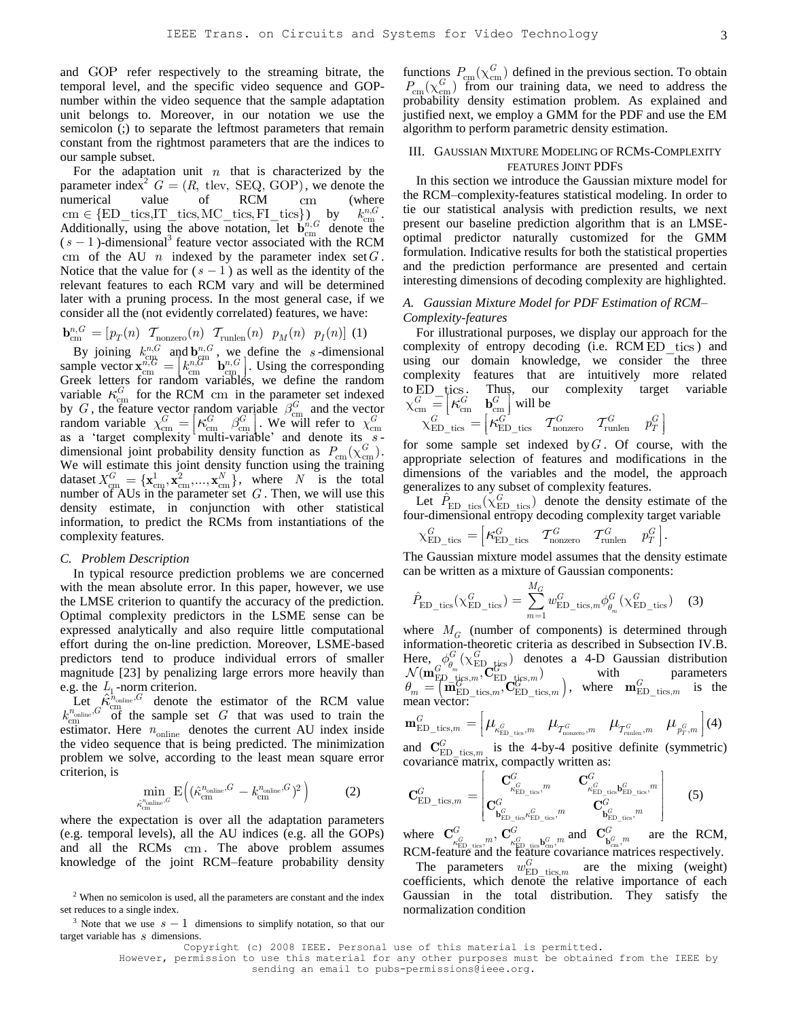and GOP refer respectively to the streaming bitrate, the temporal level, and the specific video sequence and GOPnumber within the video sequence that the sample adaptation unit belongs to. Moreover, in our notation we use the semicolon (;) to separate the leftmost parameters that remain constant from the rightmost parameters that are the indices to our sample subset.

For the adaptation unit  $n$  that is characterized by the parameter index<sup>2</sup>  $G = (R, \text{tlev}, \text{SEQ}, \text{GOP})$ , we denote the numerical value of RCM cm (where numerical value of RCM cm<br>
cm  $\in$  {ED\_tics,IT\_tics,MC\_tics,FI\_tics} } by  $k_{\rm cm}^{n,G}$  . Additionally, using the above notation, let  $\mathbf{b}_{cm}^{n,G}$  denote the  $(s - 1)$ -dimensional<sup>3</sup> feature vector associated with the RCM cm of the AU  $n$  indexed by the parameter index set  $G$ . Notice that the value for  $(s - 1)$  as well as the identity of the relevant features to each RCM vary and will be determined later with a pruning process. In the most general case, if we consider all the (not evidently correlated) features, we have:<br>  $\mathbf{b}_{cm}^{n,G} = [p_T(n) \ \mathcal{T}_{\text{nonzero}}(n) \ \mathcal{T}_{\text{runlen}}(n) \ p_M(n) \ p_I(n)]$  (1)

$$
\mathbf{b}_{\text{cm}}^{n,G} = \left[ p_T(n) \quad \mathcal{T}_{\text{nonzero}}(n) \quad \mathcal{T}_{\text{runlen}}(n) \quad p_M(n) \quad p_I(n) \right] \tag{1}
$$

By joining  $k_{\text{cm}}^{n,G}$  and  $\mathbf{b}_{\text{cm}}^{n,G}$ , we define the *s*-dimensional By Johnnig  $k_{cm}$  and  $\mathbf{b}_{cm}^{n,G}$  , we define the *s*-dimensional sample vector  $\mathbf{x}_{cm}^{n,G} = \begin{bmatrix} k_{cm}^{n,G} & \mathbf{b}_{cm}^{n,G} \end{bmatrix}$ . Using the corresponding Graph latters for random veribbles, we define the random Greek letters for random variables, we define the random variable  $\kappa_{\text{cm}}^G$  for the RCM  $_{\text{cm}}$  in the parameter set indexed by *G*, the feature vector random variable  $\beta_{\text{cm}}^G$  and the vector random variable  $\chi_{\text{cm}}^G = \kappa_{\text{cm}}^G$   $\beta_{\text{cm}}^G$  will refer to  $\chi_{\text{cm}}^G$ <br>random variable  $\chi_{\text{cm}}^G = \kappa_{\text{cm}}^G$ . We will refer to  $\chi_{\text{cm}}^G$ as a 'target complexity multi-variable' and denote its sdimensional joint probability density function as  $P_{\text{cm}}(\chi_{\text{cm}}^G)$ . We will estimate this joint density function using the training dataset  $X_{\text{cm}}^G = {\mathbf{x}_{\text{cm}}^1, \mathbf{x}_{\text{cm}}^2, ..., \mathbf{x}_{\text{cm}}^N}$ , where *N* is the total number of AUs in the parameter set  $G$ . Then, we will use this density estimate, in conjunction with other statistical information, to predict the RCMs from instantiations of the complexity features.

#### *C. Problem Description*

In typical resource prediction problems we are concerned with the mean absolute error. In this paper, however, we use the LMSE criterion to quantify the accuracy of the prediction. Optimal complexity predictors in the LSME sense can be expressed analytically and also require little computational effort during the on-line prediction. Moreover, LSME-based predictors tend to produce individual errors of smaller magnitude [23] by penalizing large errors more heavily than e.g. the  $L_1$ -norm criterion.

Let  $\hat{\kappa}_{cm}^{\hat{n}_{\text{online}}}, G$  denote the estimator of the RCM value  $k_{cm}^{n_{\text{online}}}, G$  of the sample set G that was used to train the estimator. Here  $n_{\text{online}}$  denotes the current AU index inside the video sequence that is being predicted. The minimization problem we solve, according to the least mean square error criterion, is

$$
\min_{\hat{\kappa}_{\text{cm}}^{\text{nonline}, G}} \mathcal{E}\Big( (\hat{\kappa}_{\text{cm}}^{\text{n}_{\text{online}}, G} - k_{\text{cm}}^{\text{n}_{\text{online}}, G})^2 \Big) \tag{2}
$$

where the expectation is over all the adaptation parameters (e.g. temporal levels), all the AU indices (e.g. all the GOPs) and all the RCMs cm . The above problem assumes knowledge of the joint RCM–feature probability density

<sup>3</sup> Note that we use  $s - 1$  dimensions to simplify notation, so that our target variable has *s* dimensions.

functions  $P_{\text{cm}}(\chi_{\text{cm}}^G)$  defined in the previous section. To obtain  $P_{\text{cm}}(\chi_{\text{cm}}^G)$  from our training data, we need to address the probability density estimation problem. As explained and justified next, we employ a GMM for the PDF and use the EM algorithm to perform parametric density estimation.

#### III. GAUSSIAN MIXTURE MODELING OF RCMS-COMPLEXITY FEATURES JOINT PDFS

In this section we introduce the Gaussian mixture model for the RCM–complexity-features statistical modeling. In order to tie our statistical analysis with prediction results, we next present our baseline prediction algorithm that is an LMSEoptimal predictor naturally customized for the GMM formulation. Indicative results for both the statistical properties and the prediction performance are presented and certain interesting dimensions of decoding complexity are highlighted.

## *A. Gaussian Mixture Model for PDF Estimation of RCM– Complexity-features*

For illustrational purposes, we display our approach for the complexity of entropy decoding (i.e. RCM ED tics) and using our domain knowledge, we consider the three complexity features that are intuitively more related to ED\_tics . Thus, our complexity target variable  $\chi_{\text{cm}}^G = \begin{bmatrix} \kappa_{\text{cm}}^G & \mathbf{b}_{\text{cm}}^G \end{bmatrix}$  will be<br>  $\chi_{\text{ED\_tics}}^G = \begin{bmatrix} \kappa_{\text{cm}}^G & \mathcal{T}_{\text{nonzero}}^G & \mathcal{T}_{\text{runlen}}^G & p_T^G \end{bmatrix}$ 

$$
\chi_{\text{ED\_tics}}^G = \begin{bmatrix} \kappa_{\text{ED\_tics}}^G & \mathcal{T}_{\text{nonzero}}^G & \mathcal{T}_{\text{runlen}}^G & p_T^G \end{bmatrix}
$$

for some sample set indexed by *G* . Of course, with the appropriate selection of features and modifications in the dimensions of the variables and the model, the approach generalizes to any subset of complexity features.

Let  $\hat{P}_{\text{ED--tics}}(\chi_{\text{ED--tics}}^G)$  denote the density estimate of the

four-dimensional entropy decoding complexity target variable  
\n
$$
\chi_{\text{ED\_tics}}^G = \begin{bmatrix} \kappa_{\text{ED\_tics}}^G & T_{\text{nonzero}}^G & T_{\text{rullen}}^G & p_T^G \end{bmatrix}.
$$

The Gaussian mixture model assumes that the density estimate can be written as a mixture of Gaussian components:

$$
\hat{P}_{\text{ED\_tics}}(\chi_{\text{ED\_tics}}^G) = \sum_{m=1}^{M_G} w_{\text{ED\_tics},m}^G \phi_m^G(\chi_{\text{ED\_tics}}^G) \quad (3)
$$

where  $M_G$  (number of components) is determined through information-theoretic criteria as described in Subsection IV.B. Here,  $\phi_{\theta_m}^G$  ( $\chi_{\rm ED}^G$  tics)  $G$   $\wedge$ Here,  $\phi_g^G(\chi_{\text{ED\_tics}}^G)$  denotes a 4-D Gaussian distribution  $\mathcal{N}(\mathbf{m}_{\text{ED\_tics}}^G, m)$  with parameters V ( $\mathbf{m}_{\text{ED}}^{\text{E}} = \left( \mathbf{m}_{\text{ED\_tics}, m}^{\text{G}} \right), \mathbf{C}_{\text{ED\_tics}, m}^{\text{E}}$ ), where  $\mathbf{m}_{\text{ED\_tics}, m}^{\text{G}}$  is the mean vector:<br>  $\mathbf{m}_{\text{ED\_tics}, m}^{\text{G}} = \left[ \mu_{\kappa_{\text{ED\_tics}}, m} \mu_{\tau_{\text{nonzero}}, m} \mu_{\tau_{\text{r,nonzero}}^{\text{G}}} \mu_{\mu_{\text{F}}, m}^{\$ mean vector:

$$
\mathbf{m}_{\mathrm{ED\_tics},m}^{G} = \begin{bmatrix} \mu_{\kappa_{\mathrm{FD\_tics}}^{G},m} & \mu_{\mathcal{T}_{\mathrm{nonzero}}^{G},m} & \mu_{\mathcal{T}_{\mathrm{runlen}}^{G},m} & \mu_{p_{T}^{G},m} \end{bmatrix} (4)
$$

and  $\mathbf{C}_{\text{ED-tics},m}^G$  is the 4-by-4 positive definite (symmetric)

covariance matrix, compactly written as:  
\n
$$
\mathbf{C}_{\text{ED\_tics},m}^{G} = \begin{bmatrix}\n\mathbf{C}_{\kappa_{\text{ED\_tics}}^{G}}^{G}, & \mathbf{C}_{\kappa_{\text{ED\_tics}}^{G}}^{G}, & \mathbf{C}_{\kappa_{\text{ED\_tics}}^{G}}^{G}, & \mathbf{C}_{\kappa_{\text{ED\_tics}}^{G}}^{G}, & \mathbf{C}_{\kappa_{\text{ED\_tics}}^{G}}^{G}, & \mathbf{C}_{\kappa_{\text{ED\_tics}}^{G}}^{G}, & \mathbf{C}_{\kappa_{\text{ED\_tics}}^{G}}^{G}, & \mathbf{C}_{\kappa_{\text{ED\_tics}}^{G}}^{G}, & \mathbf{C}_{\kappa_{\text{ED\_tics}}^{G}}^{G}, & \mathbf{C}_{\kappa_{\text{ED\_tics}}^{G}}^{G}, & \mathbf{C}_{\kappa_{\text{ED\_tics}}^{G}}^{G}, & \mathbf{C}_{\kappa_{\text{ED\_tics}}^{G}}^{G}, & \mathbf{C}_{\kappa_{\text{ED\_tics}}^{G}}^{G}, & \mathbf{C}_{\kappa_{\text{ED\_tics}}^{G}}^{G}, & \mathbf{C}_{\kappa_{\text{ED\_tics}}^{G}}^{G}, & \mathbf{C}_{\kappa_{\text{ED\_tics}}^{G}}^{G}, & \mathbf{C}_{\kappa_{\text{ED\_tics}}^{G}}^{G}, & \mathbf{C}_{\kappa_{\text{ED\_tics}}^{G}}^{G}, & \mathbf{C}_{\kappa_{\text{ED\_tics}}^{G}}^{G}, & \mathbf{C}_{\kappa_{\text{ED\_tics}}^{G}}^{G}, & \mathbf{C}_{\kappa_{\text{ED\_tics}}^{G}}^{G}, & \mathbf{C}_{\kappa_{\text{ED\_tics}}^{G}}^{G}, & \mathbf{C}_{\kappa_{\text{ED\_tics}}^{G}}^{G}, & \mathbf{C}_{\kappa_{\text{ED\_tics}}^{G}}^{G}, & \mathbf{C}_{\kappa_{\text{ED\_tics}}^{G}}^{G}, & \mathbf{C}_{\kappa_{\text{ED\_tics}}^{G}}^{G}, & \mathbf{C}_{\kappa_{\text{ED\_tics}}^{G}}^{G}, & \mathbf{C}_{\kappa_{\text{ED\_tics}}^{G}}^{G}, & \mathbf{C}_{\kappa_{\text{ED\_tics}}^{G}}
$$

where  $\mathbf{C}_{\substack{G\\k_{\text{ED\_ties}}}^{G}}^{G}$  *m*,  $\mathbf{C}_{\substack{G\\k_{\text{ED\_ties}}}^{G}}^{G}$  *m* and  $\mathbf{C}_{\substack{G\\k_{\text{cm}}}^{G},m}^{G}$  are the RCM, RCM-feature and the feature covariance matrices respectively.

The parameters  $w_{\text{ED-tics},m}^G$  are the mixing (weight) coefficients, which denote the relative importance of each Gaussian in the total distribution. They satisfy the normalization condition

 $2$  When no semicolon is used, all the parameters are constant and the index set reduces to a single index.

Copyright (c) 2008 IEEE. Personal use of this material is permitted.

However, permission to use this material for any other purposes must be obtained from the IEEE by sending an email to pubs-permissions@ieee.org.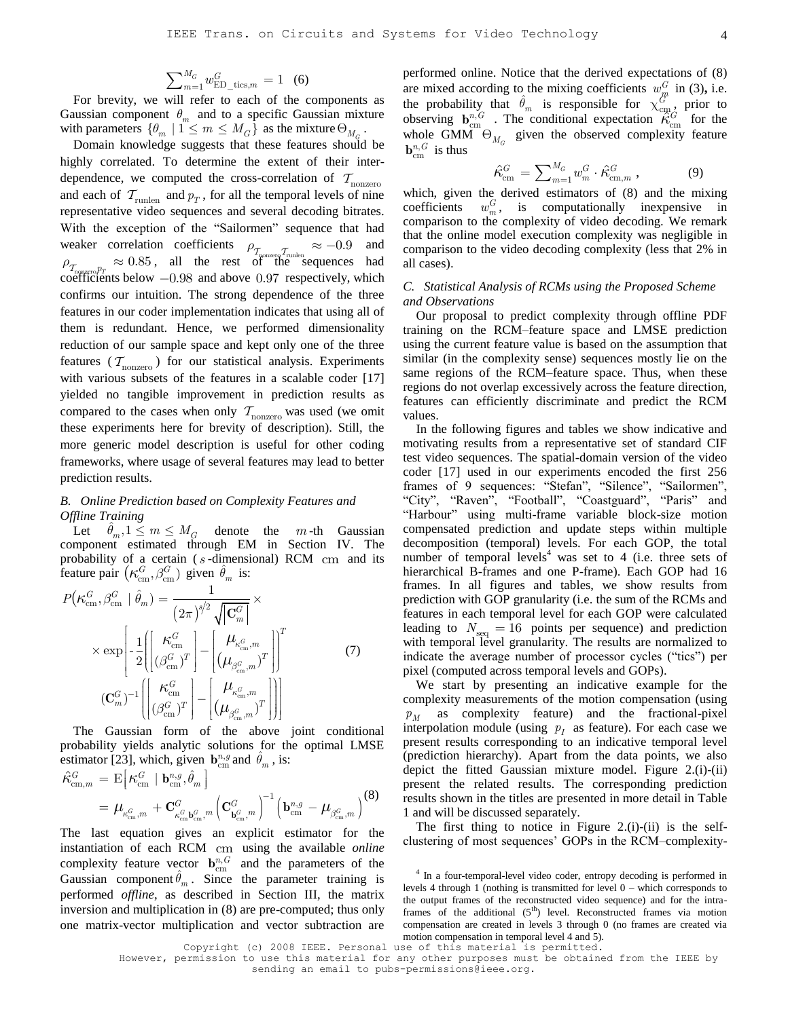$$
\sum\nolimits_{m=1}^{M_G} w_{\text{ED\_tics},m}^G = 1 \quad (6)
$$

For brevity, we will refer to each of the components as Gaussian component  $\theta_m$  and to a specific Gaussian mixture with parameters  $\{\theta_m \mid 1 \leq m \leq M_G\}$  as the mixture  $\Theta_{M_G}$ .

Domain knowledge suggests that these features should be highly correlated. To determine the extent of their interdependence, we computed the cross-correlation of  $T_{\text{nonzero}}$ and each of  $T_{\text{runlen}}$  and  $p_T$ , for all the temporal levels of nine representative video sequences and several decoding bitrates. With the exception of the "Sailormen" sequence that had weaker correlation coefficients  $\rho_{\tau_{\text{upper}}} \approx -0.9$  and  $\rho_{\tau_{\text{square}}p_T} \approx 0.85$ , all the rest of the sequences had coefficients below  $-0.98$  and above 0.97 respectively, which confirms our intuition. The strong dependence of the three features in our coder implementation indicates that using all of them is redundant. Hence, we performed dimensionality reduction of our sample space and kept only one of the three features ( $\mathcal{T}_{\text{nonzero}}$ ) for our statistical analysis. Experiments with various subsets of the features in a scalable coder [17] yielded no tangible improvement in prediction results as compared to the cases when only  $T_{\text{nonzero}}$  was used (we omit these experiments here for brevity of description). Still, the more generic model description is useful for other coding frameworks, where usage of several features may lead to better prediction results.

## *B. Online Prediction based on Complexity Features and Offline Training*

Let  $\hat{\theta}_m$ ,  $1 \leq m \leq M_G$  denote the  $m$ -th Gaussian component estimated through EM in Section IV. The probability of a certain (*s*-dimensional) RCM cm and its

$$
\begin{aligned}\n\text{feature pair } & \left( \kappa_{\text{cm}}^G, \beta_{\text{cm}}^G \right) \text{ given } \hat{\theta}_m \text{ is:} \\
P(\kappa_{\text{cm}}^G, \beta_{\text{cm}}^G \mid \hat{\theta}_m) &= \frac{1}{\left( 2\pi \right)^{s/2} \sqrt{\left| \mathbf{C}_m^G \right|}} \times \\
& \times \exp\left[ -\frac{1}{2} \left| \left[ \frac{\kappa_{\text{cm}}^G}{\left( \beta_{\text{cm}}^G \right)^T} \right] - \left[ \frac{\mu_{\kappa_{\text{cm}}^G, m}}{\left( \mu_{\beta_{\text{cm}}^G, m} \right)^T} \right] \right]^T \qquad (7) \\
& \left( \mathbf{C}_m^G \right)^{-1} \left| \left[ \frac{\kappa_{\text{cm}}^G}{\left( \beta_{\text{cm}}^G \right)^T} \right] - \left[ \frac{\mu_{\kappa_{\text{cm}}^G, m}}{\left( \mu_{\beta_{\text{cm}}^G, m} \right)^T} \right] \right|\n\end{aligned}
$$

The Gaussian form of the above joint conditional probability yields analytic solutions for the optimal LMSE probability yields analytic solutions for the estimator [23], which, given  $\mathbf{b}_{cm}^{n,g}$  and  $\hat{\theta}_m$ , is:<br>  $\hat{\kappa}_{cm,m}^G = \mathbb{E} \Big[ \kappa_m^G \mid \mathbf{b}_{cm}^{n,g}, \hat{\theta}_m \Big]$ 

 cm cm cm cm cm , 1 , , , , , cm *G G G G G G G n g m m m m*  **b b b C C b** (8)

The last equation gives an explicit estimator for the instantiation of each RCM cm using the available *online* complexity feature vector  $\mathbf{b}_{cm}^{n,G}$  and the parameters of the Gaussian component  $\hat{\theta}_m$ . Since the parameter training is performed *offline*, as described in Section III, the matrix inversion and multiplication in (8) are pre-computed; thus only one matrix-vector multiplication and vector subtraction are

performed online. Notice that the derived expectations of (8) are mixed according to the mixing coefficients  $w_m^G$  in (3), i.e. the probability that  $\hat{\theta}_m$  is responsible for  $\chi_{\text{cm}}^{\hat{G}^*}$ , prior to observing  $\mathbf{b}_{\text{cm}}^{n,G}$ . The conditional expectation  $\mathcal{R}_{\text{cm}}^G$  for the whole GMM  $\Theta_{M_G}$  given the observed complexity feature  $\mathbf{b}_{\text{cm}}^{n,G}$  is thus

$$
\hat{\kappa}_{\text{cm}}^G = \sum_{m=1}^{M_G} w_m^G \cdot \hat{\kappa}_{\text{cm},m}^G ,\qquad (9)
$$

which, given the derived estimators of (8) and the mixing coefficients  $w_m^G$ , is computationally inexpensive in comparison to the complexity of video decoding. We remark that the online model execution complexity was negligible in comparison to the video decoding complexity (less that 2% in all cases).

## <span id="page-3-0"></span>*C. Statistical Analysis of RCMs using the Proposed Scheme and Observations*

Our proposal to predict complexity through offline PDF training on the RCM–feature space and LMSE prediction using the current feature value is based on the assumption that similar (in the complexity sense) sequences mostly lie on the same regions of the RCM–feature space. Thus, when these regions do not overlap excessively across the feature direction, features can efficiently discriminate and predict the RCM values.

In the following figures and tables we show indicative and motivating results from a representative set of standard CIF test video sequences. The spatial-domain version of the video coder [17] used in our experiments encoded the first 256 frames of 9 sequences: "Stefan", "Silence", "Sailormen", "City", "Raven", "Football", "Coastguard", "Paris" and "Harbour" using multi-frame variable block-size motion compensated prediction and update steps within multiple decomposition (temporal) levels. For each GOP, the total number of temporal levels<sup>4</sup> was set to 4 (i.e. three sets of hierarchical B-frames and one P-frame). Each GOP had 16 frames. In all figures and tables, we show results from prediction with GOP granularity (i.e. the sum of the RCMs and features in each temporal level for each GOP were calculated leading to  $N_{\text{seq}} = 16$  points per sequence) and prediction with temporal level granularity. The results are normalized to indicate the average number of processor cycles ("tics") per pixel (computed across temporal levels and GOPs).

We start by presenting an indicative example for the complexity measurements of the motion compensation (using *M p* as complexity feature) and the fractional-pixel interpolation module (using  $p_I$  as feature). For each case we present results corresponding to an indicative temporal level (prediction hierarchy). Apart from the data points, we also depict the fitted Gaussian mixture model. Figure 2.(i)-(ii) present the related results. The corresponding prediction results shown in the titles are presented in more detail in Table 1 and will be discussed separately.

The first thing to notice in Figure 2.(i)-(ii) is the selfclustering of most sequences' GOPs in the RCM–complexity-

Copyright (c) 2008 IEEE. Personal use of this material is permitted. However, permission to use this material for any other purposes must be obtained from the IEEE by

<sup>&</sup>lt;sup>4</sup> In a four-temporal-level video coder, entropy decoding is performed in levels 4 through 1 (nothing is transmitted for level 0 – which corresponds to the output frames of the reconstructed video sequence) and for the intraframes of the additional  $(5<sup>th</sup>)$  level. Reconstructed frames via motion compensation are created in levels 3 through 0 (no frames are created via motion compensation in temporal level 4 and 5).

sending an email to pubs-permissions@ieee.org.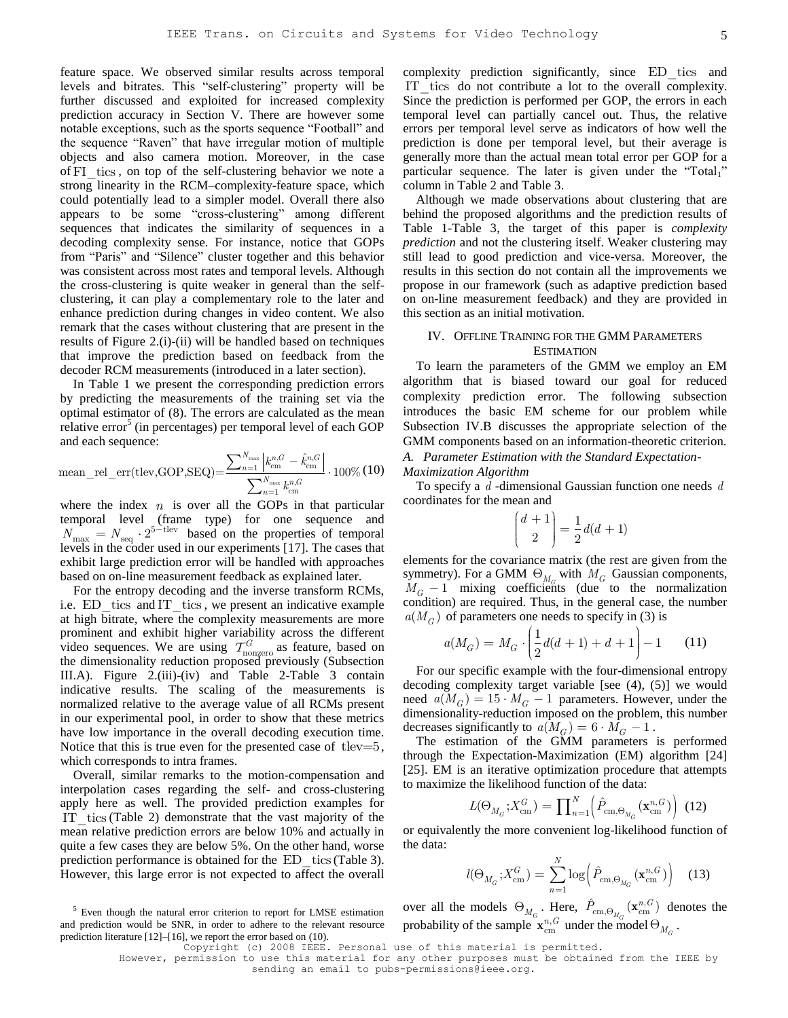feature space. We observed similar results across temporal levels and bitrates. This "self-clustering" property will be further discussed and exploited for increased complexity prediction accuracy in Section V. There are however some notable exceptions, such as the sports sequence "Football" and the sequence "Raven" that have irregular motion of multiple objects and also camera motion. Moreover, in the case of FI tics, on top of the self-clustering behavior we note a strong linearity in the RCM–complexity-feature space, which could potentially lead to a simpler model. Overall there also appears to be some "cross-clustering" among different sequences that indicates the similarity of sequences in a decoding complexity sense. For instance, notice that GOPs from "Paris" and "Silence" cluster together and this behavior was consistent across most rates and temporal levels. Although the cross-clustering is quite weaker in general than the selfclustering, it can play a complementary role to the later and enhance prediction during changes in video content. We also remark that the cases without clustering that are present in the results of Figure 2.(i)-(ii) will be handled based on techniques that improve the prediction based on feedback from the decoder RCM measurements (introduced in a later section).

In Table 1 we present the corresponding prediction errors by predicting the measurements of the training set via the optimal estimator of (8). The errors are calculated as the mean relative error<sup>5</sup> (in percentages) per temporal level of each GOP and each sequence:  $\mathcal{G} = \hat{k}^n$  $N_{\rm max}$   $\left| k_{...}^{n,G} - \hat{k}_{...}^{n,G} \right|$ 

$$
\text{mean\_rel\_err}(\text{tlev}, \text{GOP}, \text{SEQ}) = \frac{\sum_{n=1}^{N_{\text{max}}} \left| k_{\text{cm}}^{n,G} - \hat{k}_{\text{cm}}^{n,G} \right|}{\sum_{n=1}^{N_{\text{max}}} k_{\text{cm}}^{n,G}} \cdot 100\% \text{ (10)}
$$

where the index  $n$  is over all the GOPs in that particular temporal level (frame type) for one sequence and  $N_{\text{max}} = N_{\text{seq}} \cdot 2^{5-\text{tlev}}$  based on the properties of temporal levels in the coder used in our experiments [17]. The cases that exhibit large prediction error will be handled with approaches based on on-line measurement feedback as explained later.

For the entropy decoding and the inverse transform RCMs, i.e. ED tics and IT tics, we present an indicative example at high bitrate, where the complexity measurements are more prominent and exhibit higher variability across the different video sequences. We are using  $T_{\text{nonzero}}^G$  as feature, based on the dimensionality reduction proposed previously (Subsection III.A). Figure 2.(iii)-(iv) and Table 2-Table 3 contain indicative results. The scaling of the measurements is normalized relative to the average value of all RCMs present in our experimental pool, in order to show that these metrics have low importance in the overall decoding execution time. Notice that this is true even for the presented case of tlev=5, which corresponds to intra frames.

Overall, similar remarks to the motion-compensation and interpolation cases regarding the self- and cross-clustering apply here as well. The provided prediction examples for IT tics (Table 2) demonstrate that the vast majority of the mean relative prediction errors are below 10% and actually in quite a few cases they are below 5%. On the other hand, worse prediction performance is obtained for the ED tics (Table 3). However, this large error is not expected to affect the overall

<sup>5</sup> Even though the natural error criterion to report for LMSE estimation and prediction would be SNR, in order to adhere to the relevant resource prediction literature [12]–[16], we report the error based on (10).

complexity prediction significantly, since ED\_tics and IT tics do not contribute a lot to the overall complexity. Since the prediction is performed per GOP, the errors in each temporal level can partially cancel out. Thus, the relative errors per temporal level serve as indicators of how well the prediction is done per temporal level, but their average is generally more than the actual mean total error per GOP for a particular sequence. The later is given under the "Total<sub>1</sub>" column in Table 2 and Table 3.

Although we made observations about clustering that are behind the proposed algorithms and the prediction results of Table 1-Table 3, the target of this paper is *complexity prediction* and not the clustering itself. Weaker clustering may still lead to good prediction and vice-versa. Moreover, the results in this section do not contain all the improvements we propose in our framework (such as adaptive prediction based on on-line measurement feedback) and they are provided in this section as an initial motivation.

#### IV. OFFLINE TRAINING FOR THE GMM PARAMETERS **ESTIMATION**

To learn the parameters of the GMM we employ an EM algorithm that is biased toward our goal for reduced complexity prediction error. The following subsection introduces the basic EM scheme for our problem while Subsection IV.B discusses the appropriate selection of the GMM components based on an information-theoretic criterion. *A. Parameter Estimation with the Standard Expectation-*

*Maximization Algorithm*

To specify a *d* -dimensional Gaussian function one needs *d* coordinates for the mean and

$$
\binom{d+1}{2} = \frac{1}{2}d(d+1)
$$

elements for the covariance matrix (the rest are given from the symmetry). For a GMM  $\Theta_{M_G}$  with  $M_G$  Gaussian components,  $M_G - 1$  mixing coefficients (due to the normalization condition) are required. Thus, in the general case, the number  $a(M_G)$  of parameters one needs to specify in (3) is

$$
a(M_G) = M_G \cdot \left(\frac{1}{2}d(d+1) + d + 1\right) - 1 \tag{11}
$$

For our specific example with the four-dimensional entropy decoding complexity target variable [see (4), (5)] we would need  $a(M_G) = 15 \cdot M_G - 1$  parameters. However, under the dimensionality-reduction imposed on the problem, this number decreases significantly to  $a(M_G) = 6 \cdot M_G - 1$ .

The estimation of the GMM parameters is performed through the Expectation-Maximization (EM) algorithm [24] [25]. EM is an iterative optimization procedure that attempts

to maximize the likelihood function of the data:  
\n
$$
L(\Theta_{M_G}; X^G_{\text{cm}}) = \prod_{n=1}^{N} \left( \hat{P}_{\text{cm}, \Theta_{M_G}}(\mathbf{x}_{\text{cm}}^{n, G}) \right)
$$
 (12)

or equivalently the more convenient log-likelihood function of the data:

$$
l(\Theta_{M_G}; X^G_{\text{cm}}) = \sum_{n=1}^{N} \log \left( \hat{P}_{\text{cm}, \Theta_{M_G}}(\mathbf{x}_{\text{cm}}^{n, G}) \right) \quad (13)
$$

over all the models  $\Theta_{M_G}$ . Here,  $\hat{P}_{\text{cm},\Theta_{M_G}}(\mathbf{x}_{\text{cm}}^{n,G})$  denotes the probability of the sample  $\mathbf{x}_{cm}^{n,G}$  under the model  $\Theta_{M_G}$ .

 However, permission to use this material for any other purposes must be obtained from the IEEE by sending an email to pubs-permissions@ieee.org.

Copyright (c) 2008 IEEE. Personal use of this material is permitted.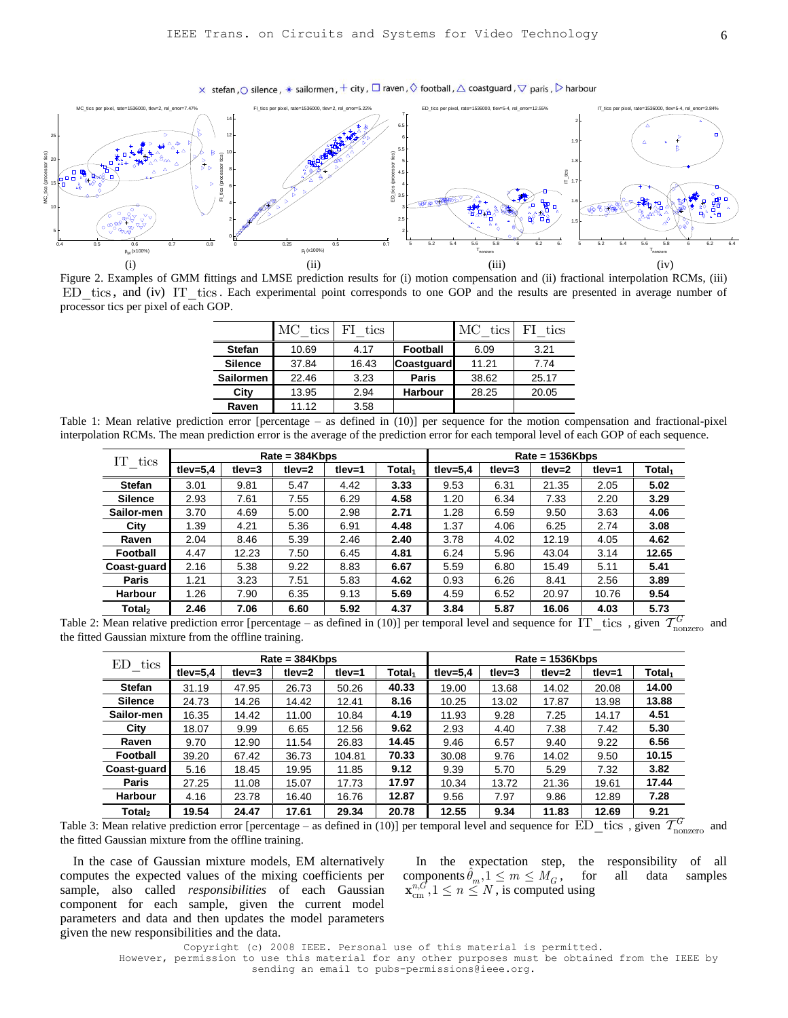$\times$  stefan,  $\odot$  silence,  $*$  sailormen,  $+$  city,  $\Box$  raven,  $\Diamond$  football,  $\triangle$  coastguard,  $\bigtriangledown$  paris,  $\triangleright$  harbour



Figure 2. Examples of GMM fittings and LMSE prediction results for (i) motion compensation and (ii) fractional interpolation RCMs, (iii) ED\_tics, and (iv) IT\_tics. Each experimental point corresponds to one GOP and the results are presented in average number of processor tics per pixel of each GOP.

| <b>Stefan</b><br>Football<br>10.69<br>4.17<br>6.09         | 3.21  |
|------------------------------------------------------------|-------|
| 37.84<br>11.21<br><b>Silence</b><br>16.43<br>Coastguard    | 7.74  |
| 22.46<br>3.23<br>38.62<br><b>Sailormen</b><br><b>Paris</b> | 25.17 |
| 13.95<br>2.94<br><b>Harbour</b><br>28.25<br>City           | 20.05 |
| Raven<br>11.12<br>3.58                                     |       |

Table 1: Mean relative prediction error [percentage – as defined in (10)] per sequence for the motion compensation and fractional-pixel interpolation RCMs. The mean prediction error is the average of the prediction error for each temporal level of each GOP of each sequence.

| IT<br>tics         |             |           | $Rate = 384Kbps$ |           |                    | $Rate = 1536Kbps$ |              |           |          |                    |
|--------------------|-------------|-----------|------------------|-----------|--------------------|-------------------|--------------|-----------|----------|--------------------|
|                    | tlev= $5,4$ | tlev= $3$ | tlev= $2$        | $t$ lev=1 | Total <sub>1</sub> | tlev= $5.4$       | $t$ lev= $3$ | tlev= $2$ | $tlev=1$ | Total <sub>1</sub> |
| <b>Stefan</b>      | 3.01        | 9.81      | 5.47             | 4.42      | 3.33               | 9.53              | 6.31         | 21.35     | 2.05     | 5.02               |
| <b>Silence</b>     | 2.93        | 7.61      | 7.55             | 6.29      | 4.58               | 1.20              | 6.34         | 7.33      | 2.20     | 3.29               |
| Sailor-men         | 3.70        | 4.69      | 5.00             | 2.98      | 2.71               | 1.28              | 6.59         | 9.50      | 3.63     | 4.06               |
| City               | 1.39        | 4.21      | 5.36             | 6.91      | 4.48               | 1.37              | 4.06         | 6.25      | 2.74     | 3.08               |
| Raven              | 2.04        | 8.46      | 5.39             | 2.46      | 2.40               | 3.78              | 4.02         | 12.19     | 4.05     | 4.62               |
| Football           | 4.47        | 12.23     | 7.50             | 6.45      | 4.81               | 6.24              | 5.96         | 43.04     | 3.14     | 12.65              |
| Coast-guard        | 2.16        | 5.38      | 9.22             | 8.83      | 6.67               | 5.59              | 6.80         | 15.49     | 5.11     | 5.41               |
| Paris              | 1.21        | 3.23      | 7.51             | 5.83      | 4.62               | 0.93              | 6.26         | 8.41      | 2.56     | 3.89               |
| Harbour            | 1.26        | 7.90      | 6.35             | 9.13      | 5.69               | 4.59              | 6.52         | 20.97     | 10.76    | 9.54               |
| Total <sub>2</sub> | 2.46        | 7.06      | 6.60             | 5.92      | 4.37               | 3.84              | 5.87         | 16.06     | 4.03     | 5.73               |

Table 2: Mean relative prediction error [percentage – as defined in (10)] per temporal level and sequence for  $IT\_tics$ , given  $\mathcal{T}_{nonzero}^G$  and the fitted Gaussian mixture from the offline training.

| ED<br>tics         |             |        | $Rate = 384Kbps$ |           |                    | $Rate = 1536Kbps$ |            |           |        |                    |
|--------------------|-------------|--------|------------------|-----------|--------------------|-------------------|------------|-----------|--------|--------------------|
|                    | tlev= $5.4$ | tlev=3 | $tlev = 2$       | $t$ lev=1 | Total <sub>1</sub> | tlev= $5,4$       | $tlev = 3$ | tlev= $2$ | tlev=1 | Total <sub>1</sub> |
| <b>Stefan</b>      | 31.19       | 47.95  | 26.73            | 50.26     | 40.33              | 19.00             | 13.68      | 14.02     | 20.08  | 14.00              |
| <b>Silence</b>     | 24.73       | 14.26  | 14.42            | 12.41     | 8.16               | 10.25             | 13.02      | 17.87     | 13.98  | 13.88              |
| Sailor-men         | 16.35       | 14.42  | 11.00            | 10.84     | 4.19               | 11.93             | 9.28       | 7.25      | 14.17  | 4.51               |
| City               | 18.07       | 9.99   | 6.65             | 12.56     | 9.62               | 2.93              | 4.40       | 7.38      | 7.42   | 5.30               |
| Raven              | 9.70        | 12.90  | 11.54            | 26.83     | 14.45              | 9.46              | 6.57       | 9.40      | 9.22   | 6.56               |
| Football           | 39.20       | 67.42  | 36.73            | 104.81    | 70.33              | 30.08             | 9.76       | 14.02     | 9.50   | 10.15              |
| Coast-guard        | 5.16        | 18.45  | 19.95            | 11.85     | 9.12               | 9.39              | 5.70       | 5.29      | 7.32   | 3.82               |
| Paris              | 27.25       | 11.08  | 15.07            | 17.73     | 17.97              | 10.34             | 13.72      | 21.36     | 19.61  | 17.44              |
| Harbour            | 4.16        | 23.78  | 16.40            | 16.76     | 12.87              | 9.56              | 7.97       | 9.86      | 12.89  | 7.28               |
| Total <sub>2</sub> | 19.54       | 24.47  | 17.61            | 29.34     | 20.78              | 12.55             | 9.34       | 11.83     | 12.69  | 9.21               |

Table 3: Mean relative prediction error [percentage – as defined in (10)] per temporal level and sequence for  $\text{ED\_tics}$ , given  $\mathcal{T}^G_{\text{nonzero}}$  and the fitted Gaussian mixture from the offline training.

In the case of Gaussian mixture models, EM alternatively computes the expected values of the mixing coefficients per sample, also called *responsibilities* of each Gaussian component for each sample, given the current model parameters and data and then updates the model parameters given the new responsibilities and the data.

In the expectation step, the responsibility of all components  $\hat{\theta}_m$ ,  $1 \le m \le M_G$ , for  $\mathbf{x}_{cm}^{n,G}$ ,  $1 \le n \le N$ , is computed using , for all data samples

Copyright (c) 2008 IEEE. Personal use of this material is permitted. However, permission to use this material for any other purposes must be obtained from the IEEE by sending an email to pubs-permissions@ieee.org.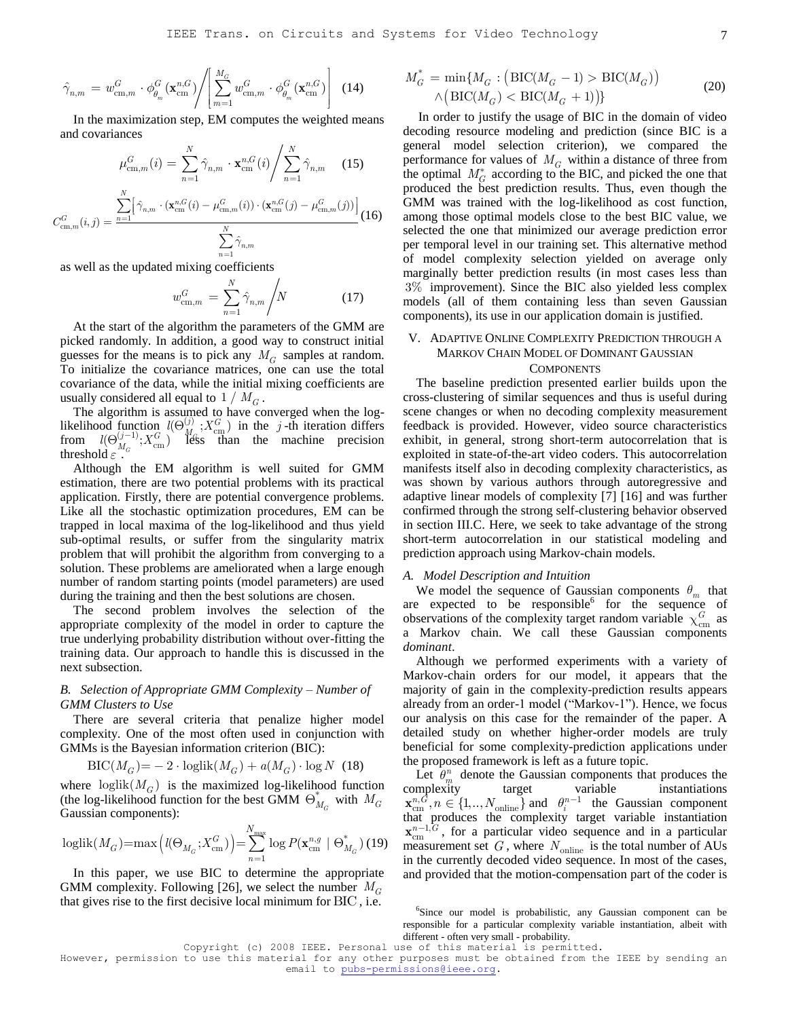$$
\hat{\gamma}_{n,m} = w_{\text{cm},m}^G \cdot \phi_{\theta_m}^G(\mathbf{x}_{\text{cm}}^{n,G}) \Bigg/ \left[ \sum_{m=1}^{M_G} w_{\text{cm},m}^G \cdot \phi_{\theta_m}^G(\mathbf{x}_{\text{cm}}^{n,G}) \right]
$$
(14)

In the maximization step, EM computes the weighted means and covariances

and covariances  
\n
$$
\mu_{\text{cm},m}^{G}(i) = \sum_{n=1}^{N} \hat{\gamma}_{n,m} \cdot \mathbf{x}_{\text{cm}}^{n,G}(i) / \sum_{n=1}^{N} \hat{\gamma}_{n,m} \quad (15)
$$
\n
$$
C_{\text{cm},m}^{G}(i,j) = \frac{\sum_{n=1}^{N} [\hat{\gamma}_{n,m} \cdot (\mathbf{x}_{\text{cm}}^{n,G}(i) - \mu_{\text{cm},m}^{G}(i)) \cdot (\mathbf{x}_{\text{cm}}^{n,G}(j) - \mu_{\text{cm},m}^{G}(j))]}{\sum_{n=1}^{N} \hat{\gamma}_{n,m}} \quad (16)
$$

as well as the updated mixing coefficients

$$
w_{\text{cm},m}^G = \sum_{n=1}^N \hat{\gamma}_{n,m} / N \tag{17}
$$

At the start of the algorithm the parameters of the GMM are picked randomly. In addition, a good way to construct initial guesses for the means is to pick any  $M_G$  samples at random. To initialize the covariance matrices, one can use the total covariance of the data, while the initial mixing coefficients are usually considered all equal to  $1 / M_G$ .

The algorithm is assumed to have converged when the loglikelihood function  $l(\Theta_{M_{\rm G}}^{(j)}; X_{\rm cm}^G)$ *j*)  $\cdot$   $\cdot$   $\cdot$   $G$  $l(\Theta_{M_{c}}^{(j)}, X_{\text{cm}}^{G})$  in the j-th iteration differs from  $l(\Theta_{M_G}^{(j-1)};X_{\text{cm}}^G)$  $(j-1)$ ,  $\mathbf{v}$ *G*  $l(\Theta_{M_C}^{(j-1)}; X_{\text{cm}}^G)$  less than the machine precision threshold  $\varepsilon$ .

Although the EM algorithm is well suited for GMM estimation, there are two potential problems with its practical application. Firstly, there are potential convergence problems. Like all the stochastic optimization procedures, EM can be trapped in local maxima of the log-likelihood and thus yield sub-optimal results, or suffer from the singularity matrix problem that will prohibit the algorithm from converging to a solution. These problems are ameliorated when a large enough number of random starting points (model parameters) are used during the training and then the best solutions are chosen.

The second problem involves the selection of the appropriate complexity of the model in order to capture the true underlying probability distribution without over-fitting the training data. Our approach to handle this is discussed in the next subsection.

## *B. Selection of Appropriate GMM Complexity – Number of GMM Clusters to Use*

There are several criteria that penalize higher model complexity. One of the most often used in conjunction with GMMs is the Bayesian information criterion (BIC):<br>  $\text{BIC}(M_G) = -2 \cdot \text{loglik}(M_G) + a(M_G) \cdot \text{log } N$ 

$$
BIC(MG) = -2 \cdot loglik(MG) + a(MG) \cdot log N (18)
$$

where  $loglik(M_G)$  is the maximized log-likelihood function (the log-likelihood function for the best GMM  $\Theta_{M_G}^*$  with  $M_G$ Gaussian components):

Gaussian components):  
\n
$$
\text{loglik}(M_G) = \max\left(l(\Theta_{M_G}; X^G_{\text{cm}})\right) = \sum_{n=1}^{N_{\text{max}}} \log P(\mathbf{x}^{n,g}_{\text{cm}} \mid \Theta^*_{M_G})
$$
\n(19)

In this paper, we use BIC to determine the appropriate GMM complexity. Following [26], we select the number  $M_G$ that gives rise to the first decisive local minimum for BIC , i.e.

$$
M_G^* = \min\{M_G : (\text{BIC}(M_G - 1) > \text{BIC}(M_G)) \tag{20}
$$

$$
\wedge (\text{BIC}(M_G) < \text{BIC}(M_G + 1))\}
$$

In order to justify the usage of BIC in the domain of video decoding resource modeling and prediction (since BIC is a general model selection criterion), we compared the performance for values of  $M_G$  within a distance of three from the optimal  $M_G^*$  according to the BIC, and picked the one that produced the best prediction results. Thus, even though the GMM was trained with the log-likelihood as cost function, among those optimal models close to the best BIC value, we selected the one that minimized our average prediction error per temporal level in our training set. This alternative method of model complexity selection yielded on average only marginally better prediction results (in most cases less than 3% improvement). Since the BIC also yielded less complex models (all of them containing less than seven Gaussian components), its use in our application domain is justified.

## V. ADAPTIVE ONLINE COMPLEXITY PREDICTION THROUGH A MARKOV CHAIN MODEL OF DOMINANT GAUSSIAN **COMPONENTS**

The baseline prediction presented earlier builds upon the cross-clustering of similar sequences and thus is useful during scene changes or when no decoding complexity measurement feedback is provided. However, video source characteristics exhibit, in general, strong short-term autocorrelation that is exploited in state-of-the-art video coders. This autocorrelation manifests itself also in decoding complexity characteristics, as was shown by various authors through autoregressive and adaptive linear models of complexity [7] [16] and was further confirmed through the strong self-clustering behavior observed in section III.C. Here, we seek to take advantage of the strong short-term autocorrelation in our statistical modeling and prediction approach using Markov-chain models.

#### *A. Model Description and Intuition*

We model the sequence of Gaussian components  $\theta_m$  that are expected to be responsible for the sequence of observations of the complexity target random variable  $\chi_{\text{cm}}^G$  as a Markov chain. We call these Gaussian components *dominant*.

Although we performed experiments with a variety of Markov-chain orders for our model, it appears that the majority of gain in the complexity-prediction results appears already from an order-1 model ("Markov-1"). Hence, we focus our analysis on this case for the remainder of the paper. A detailed study on whether higher-order models are truly beneficial for some complexity-prediction applications under the proposed framework is left as a future topic.

Let  $\hat{\theta}_m^n$  denote the Gaussian components that produces the complexity target variable instantiations  $\mathbf{x}_{\text{cm}}^{n,G}, n \in \{1,..,N_{\text{online}}\}$  and  $\theta_i^{n-1}$  the Gaussian component that produces the complexity target variable instantiation  $\mathbf{x}_{cm}^{n-1, G}$ , for a particular video sequence and in a particular measurement set  $G$ , where  $N_{\text{online}}$  is the total number of AUs in the currently decoded video sequence. In most of the cases, and provided that the motion-compensation part of the coder is

<sup>&</sup>lt;sup>6</sup>Since our model is probabilistic, any Gaussian component can be responsible for a particular complexity variable instantiation, albeit with different - often very small - probability.

Copyright (c) 2008 IEEE. Personal use of this material is permitted.

However, permission to use this material for any other purposes must be obtained from the IEEE by sending an email to pubs-permissions@ieee.org.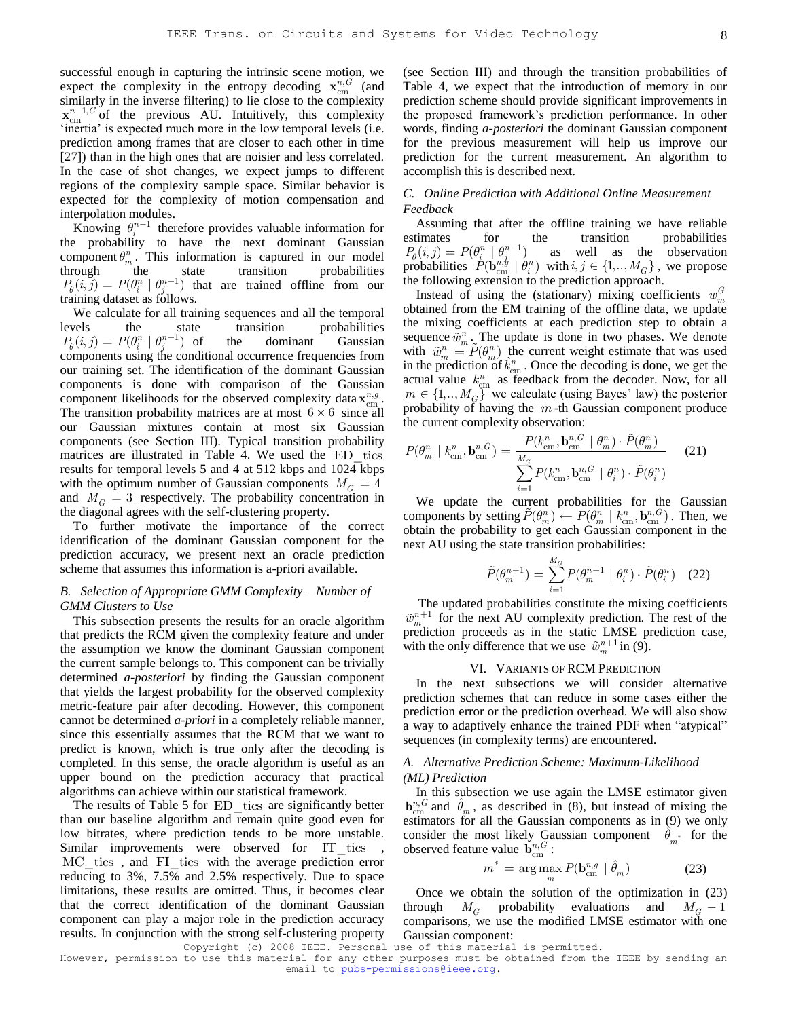successful enough in capturing the intrinsic scene motion, we expect the complexity in the entropy decoding  $\mathbf{x}_{cm}^{n,G}$  (and similarly in the inverse filtering) to lie close to the complexity  $\mathbf{x}_{cm}^{n-1,G}$  of the previous AU. Intuitively, this complexity 'inertia' is expected much more in the low temporal levels (i.e. prediction among frames that are closer to each other in time [27]) than in the high ones that are noisier and less correlated. In the case of shot changes, we expect jumps to different regions of the complexity sample space. Similar behavior is expected for the complexity of motion compensation and interpolation modules.

Knowing  $\theta_i^{n-1}$  therefore provides valuable information for the probability to have the next dominant Gaussian component  $\theta_m^n$ . This information is captured in our model through the state transition probabilities  $P_{\theta}(i, j) = P(\theta_i^n | \theta_j^{n-1})$  that are trained offline from our training dataset as follows.

We calculate for all training sequences and all the temporal levels the state transition probabilities  $P_{\theta}(i, j) = P(\theta_i^n | \theta_j^{n-1})$ the dominant Gaussian components using the conditional occurrence frequencies from our training set. The identification of the dominant Gaussian components is done with comparison of the Gaussian component likelihoods for the observed complexity data  $\mathbf{x}_{cm}^{n,g}$ . The transition probability matrices are at most  $6 \times 6$  since all our Gaussian mixtures contain at most six Gaussian components (see Section III). Typical transition probability matrices are illustrated in Table 4. We used the ED\_tics results for temporal levels 5 and 4 at 512 kbps and 1024 kbps with the optimum number of Gaussian components  $M_G = 4$ and  $M_G = 3$  respectively. The probability concentration in the diagonal agrees with the self-clustering property.

To further motivate the importance of the correct identification of the dominant Gaussian component for the prediction accuracy, we present next an oracle prediction scheme that assumes this information is a-priori available.

## *B. Selection of Appropriate GMM Complexity – Number of GMM Clusters to Use*

This subsection presents the results for an oracle algorithm that predicts the RCM given the complexity feature and under the assumption we know the dominant Gaussian component the current sample belongs to. This component can be trivially determined *a-posteriori* by finding the Gaussian component that yields the largest probability for the observed complexity metric-feature pair after decoding. However, this component cannot be determined *a-priori* in a completely reliable manner, since this essentially assumes that the RCM that we want to predict is known, which is true only after the decoding is completed. In this sense, the oracle algorithm is useful as an upper bound on the prediction accuracy that practical algorithms can achieve within our statistical framework.

The results of Table 5 for ED tics are significantly better than our baseline algorithm and remain quite good even for low bitrates, where prediction tends to be more unstable. Similar improvements were observed for IT tics, MC tics, and FI tics with the average prediction error reducing to 3%, 7.5% and 2.5% respectively. Due to space limitations, these results are omitted. Thus, it becomes clear that the correct identification of the dominant Gaussian component can play a major role in the prediction accuracy results. In conjunction with the strong self-clustering property

(see Section III) and through the transition probabilities of Table 4, we expect that the introduction of memory in our prediction scheme should provide significant improvements in the proposed framework's prediction performance. In other words, finding *a-posteriori* the dominant Gaussian component for the previous measurement will help us improve our prediction for the current measurement. An algorithm to accomplish this is described next.

## *C. Online Prediction with Additional Online Measurement Feedback*

Assuming that after the offline training we have reliable estimates for the transition probabilities  $P_{\theta}(i, j) = P(\theta_i^n | \theta_i^{n-1})$ as well as the observation probabilities  $P(\mathbf{b}_{\text{cm}}^{n,y} | \theta_i^n)$  with  $i, j \in \{1,.., M_G\}$ , we propose the following extension to the prediction approach.

Instead of using the (stationary) mixing coefficients  $w_m^G$ obtained from the EM training of the offline data, we update the mixing coefficients at each prediction step to obtain a sequence  $\tilde{w}_m^n$ . The update is done in two phases. We denote with  $\tilde{w}_m^n = \tilde{P}(\theta_m^n)$  the current weight estimate that was used in the prediction of  $\hat{k}_{cm}^n$ . Once the decoding is done, we get the actual value  $k_{cm}^{n}$  as feedback from the decoder. Now, for all  $m \in \{1,.., M_G\}$ <sup>*m*</sup> we calculate (using Bayes' law) the posterior probability of having the *m* -th Gaussian component produce

the current complexity observation:  
\n
$$
P(\theta_m^n \mid k_{\text{cm}}^n, \mathbf{b}_{\text{cm}}^{n,G}) = \frac{P(k_{\text{cm}}^n, \mathbf{b}_{\text{cm}}^{n,G} \mid \theta_m^n) \cdot \tilde{P}(\theta_m^n)}{\sum_{i=1}^{M_G} P(k_{\text{cm}}^n, \mathbf{b}_{\text{cm}}^{n,G} \mid \theta_i^n) \cdot \tilde{P}(\theta_i^n)}
$$
\n(21)

We update the current probabilities for the Gaussian components by setting  $\tilde{P}(\theta_m^n) \leftarrow P(\theta_m^n \mid k_{\text{cm}}^n, \mathbf{b}_{\text{cm}}^n)$ . Then, we obtain the probability to get each Gaussian component in the next AU using the state transition probabilities:

$$
\tilde{P}(\theta_m^{n+1}) = \sum_{i=1}^{M_G} P(\theta_m^{n+1} \mid \theta_i^n) \cdot \tilde{P}(\theta_i^n) \quad (22)
$$

The updated probabilities constitute the mixing coefficients  $\tilde{w}_{m}^{n+1}$  for the next AU complexity prediction. The rest of the prediction proceeds as in the static LMSE prediction case, with the only difference that we use  $\tilde{w}_m^{n+1}$  in (9).

#### VI. VARIANTS OF RCM PREDICTION

In the next subsections we will consider alternative prediction schemes that can reduce in some cases either the prediction error or the prediction overhead. We will also show a way to adaptively enhance the trained PDF when "atypical" sequences (in complexity terms) are encountered.

#### *A. Alternative Prediction Scheme: Maximum-Likelihood (ML) Prediction*

In this subsection we use again the LMSE estimator given  $\mathbf{b}_{cm}^{n,G}$  and  $\hat{\theta}_m$ , as described in (8), but instead of mixing the estimators for all the Gaussian components as in (9) we only consider the most likely Gaussian component  $\hat{\theta}_{m^*}$  for the observed feature value  $\mathbf{b}_{cm}^{n,G}$ :

$$
m^* = \arg\max_{m} P(\mathbf{b}_{\text{cm}}^{n,g} \mid \hat{\theta}_m)
$$
 (23)

Once we obtain the solution of the optimization in (23) through  $M_G$  probability evaluations and  $M_G - 1$ comparisons, we use the modified LMSE estimator with one Gaussian component:

Copyright (c) 2008 IEEE. Personal use of this material is permitted.

However, permission to use this material for any other purposes must be obtained from the IEEE by sending an email to pubs-permissions@ieee.org.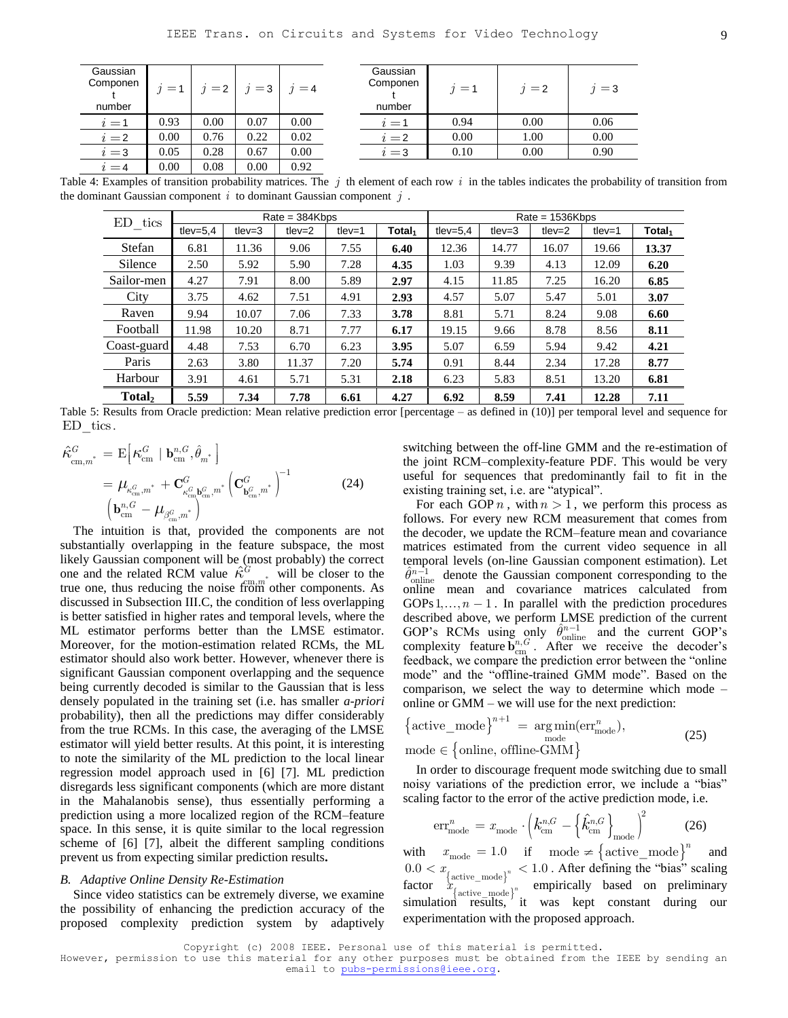| Gaussian<br>Componen<br>number | $i=1$ | $j=2$ | $j=3$ | $i = 4$ |
|--------------------------------|-------|-------|-------|---------|
| $i=1$                          | 0.93  | 0.00  | 0.07  | 0.00    |
| $i=2$                          | 0.00  | 0.76  | 0.22  | 0.02    |
| $i=3$                          | 0.05  | 0.28  | 0.67  | 0.00    |
| $i = 4$                        | 0.00  | 0.08  | 0.00  | 0.92    |

| Gaussian<br>Componen<br>number | $i=1$ | $i=2$ | $i=3$ |
|--------------------------------|-------|-------|-------|
| $i=1$                          | 0.94  | 0.00  | 0.06  |
| $i=2$                          | 0.00  | 1.00  | 0.00  |
| $i=3$                          | 0.10  | 0.00  | 0.90  |
|                                |       |       |       |

Table 4: Examples of transition probability matrices. The  $j$  th element of each row  $i$  in the tables indicates the probability of transition from the dominant Gaussian component  $i$  to dominant Gaussian component  $j$ .

| ED<br>tics  |             |              | $Rate = 384Kbps$ |           |                    | $Rate = 1536Kbps$ |           |           |           |                    |
|-------------|-------------|--------------|------------------|-----------|--------------------|-------------------|-----------|-----------|-----------|--------------------|
|             | tlev= $5.4$ | $t$ lev= $3$ | $t$ lev= $2$     | $t$ lev=1 | Total <sub>1</sub> | tlev= $5.4$       | $t$ lev=3 | tlev= $2$ | $t$ lev=1 | Total <sub>1</sub> |
| Stefan      | 6.81        | 11.36        | 9.06             | 7.55      | 6.40               | 12.36             | 14.77     | 16.07     | 19.66     | 13.37              |
| Silence     | 2.50        | 5.92         | 5.90             | 7.28      | 4.35               | 1.03              | 9.39      | 4.13      | 12.09     | 6.20               |
| Sailor-men  | 4.27        | 7.91         | 8.00             | 5.89      | 2.97               | 4.15              | 11.85     | 7.25      | 16.20     | 6.85               |
| City        | 3.75        | 4.62         | 7.51             | 4.91      | 2.93               | 4.57              | 5.07      | 5.47      | 5.01      | 3.07               |
| Raven       | 9.94        | 10.07        | 7.06             | 7.33      | 3.78               | 8.81              | 5.71      | 8.24      | 9.08      | 6.60               |
| Football    | 11.98       | 10.20        | 8.71             | 7.77      | 6.17               | 19.15             | 9.66      | 8.78      | 8.56      | 8.11               |
| Coast-guard | 4.48        | 7.53         | 6.70             | 6.23      | 3.95               | 5.07              | 6.59      | 5.94      | 9.42      | 4.21               |
| Paris       | 2.63        | 3.80         | 11.37            | 7.20      | 5.74               | 0.91              | 8.44      | 2.34      | 17.28     | 8.77               |
| Harbour     | 3.91        | 4.61         | 5.71             | 5.31      | 2.18               | 6.23              | 5.83      | 8.51      | 13.20     | 6.81               |
| Total,      | 5.59        | 7.34         | 7.78             | 6.61      | 4.27               | 6.92              | 8.59      | 7.41      | 12.28     | 7.11               |

Table 5: Results from Oracle prediction: Mean relative prediction error [percentage – as defined in (10)] per temporal level and sequence for ED tics.

$$
\begin{split} \n\hat{\kappa}_{\text{cm},m}^{G} &= \mathbf{E} \Big[ \kappa_{\text{cm}}^{G} \mid \mathbf{b}_{\text{cm}}^{n,G}, \hat{\theta}_{m^*} \Big] \\ \n&= \mu_{\kappa_{\text{cm}}^{G},m^*} + \mathbf{C}_{\kappa_{\text{cm}}^{G}}^{G} \mathbf{b}_{\text{cm}}^{G},m^*} \Big( \mathbf{C}_{\mathbf{b}_{\text{cm}}^{G},m^*}^{G} \Big)^{-1} \\ \n& \left( \mathbf{b}_{\text{cm}}^{n,G} - \mu_{\beta_{\text{cm}}^{G},m^*} \right) \end{split} \tag{24}
$$

The intuition is that, provided the components are not substantially overlapping in the feature subspace, the most likely Gaussian component will be (most probably) the correct one and the related RCM value  $\hat{\kappa}^{\hat{G}}$  will be closer to the true one, thus reducing the noise from other components. As discussed in Subsection [III.C,](#page-3-0) the condition of less overlapping is better satisfied in higher rates and temporal levels, where the ML estimator performs better than the LMSE estimator. Moreover, for the motion-estimation related RCMs, the ML estimator should also work better. However, whenever there is significant Gaussian component overlapping and the sequence being currently decoded is similar to the Gaussian that is less densely populated in the training set (i.e. has smaller *a-priori* probability), then all the predictions may differ considerably from the true RCMs. In this case, the averaging of the LMSE estimator will yield better results. At this point, it is interesting to note the similarity of the ML prediction to the local linear regression model approach used in [6] [7]. ML prediction disregards less significant components (which are more distant in the Mahalanobis sense), thus essentially performing a prediction using a more localized region of the RCM–feature space. In this sense, it is quite similar to the local regression scheme of [6] [7], albeit the different sampling conditions prevent us from expecting similar prediction results**.**

#### *B. Adaptive Online Density Re-Estimation*

Since video statistics can be extremely diverse, we examine the possibility of enhancing the prediction accuracy of the proposed complexity prediction system by adaptively switching between the off-line GMM and the re-estimation of the joint RCM–complexity-feature PDF. This would be very useful for sequences that predominantly fail to fit in the existing training set, *i.e.* are "atypical".

For each GOP  $n$ , with  $n > 1$ , we perform this process as follows. For every new RCM measurement that comes from the decoder, we update the RCM–feature mean and covariance matrices estimated from the current video sequence in all temporal levels (on-line Gaussian component estimation). Let  $\hat{\theta}_{\text{online}}^{n-1}$  denote the Gaussian component corresponding to the online mean and covariance matrices calculated from GOPs  $1, \ldots, n - 1$ . In parallel with the prediction procedures described above, we perform LMSE prediction of the current GOP's RCMs using only  $\hat{\theta}_{\text{online}}^{n-1}$  and the current GOP's complexity feature  $\mathbf{b}_{cm}^{n,G}$ . After we receive the decoder's feedback, we compare the prediction error between the "online" mode" and the "offline-trained GMM mode". Based on the comparison, we select the way to determine which mode –

$$
\text{online or GMM} - \text{we will use for the next prediction:} \\
\left\{\text{active}\_\text{mode}\right\}^{n+1} = \underset{\text{mode}}{\text{arg min}}(\text{err}^n_{\text{mode}}), \\
\text{mode} \in \left\{\text{online}, \text{offline-GMM}\right\}
$$
\n
$$
(25)
$$

In order to discourage frequent mode switching due to small noisy variations of the prediction error, we include a "bias"

scaling factor to the error of the active prediction mode, i.e.  
\n
$$
\text{err}^n_{\text{mode}} = x_{\text{mode}} \cdot \left( k_{\text{cm}}^{n,G} - \left\{ \hat{k}_{\text{cm}}^{n,G} \right\}_{\text{mode}} \right)^2 \tag{26}
$$

with  $x_{\text{mode}} = 1.0$  if mode  $\neq \{ \text{active\_mode} \}^n$  and and  $\alpha = 0.0 < x$   $\left\{\arctan \frac{1}{2} \arctan \left( \frac{1}{2} \arctan \left( \frac{1}{2} \arctan \left( \frac{1}{2} \arctan \left( \frac{1}{2} \arctan \left( \frac{1}{2} \arctan \left( \frac{1}{2} \arctan \left( \frac{1}{2} \arctan \left( \frac{1}{2} \arctan \left( \frac{1}{2} \arctan \left( \frac{1}{2} \arctan \left( \frac{1}{2} \arctan \left( \frac{1}{2} \arctan \left( \frac{1}{2} \arctan \left( \$  $f_{\text{active model}}^{\text{active model}}$  empirically based on preliminary simulation results, it was kept constant during our experimentation with the proposed approach.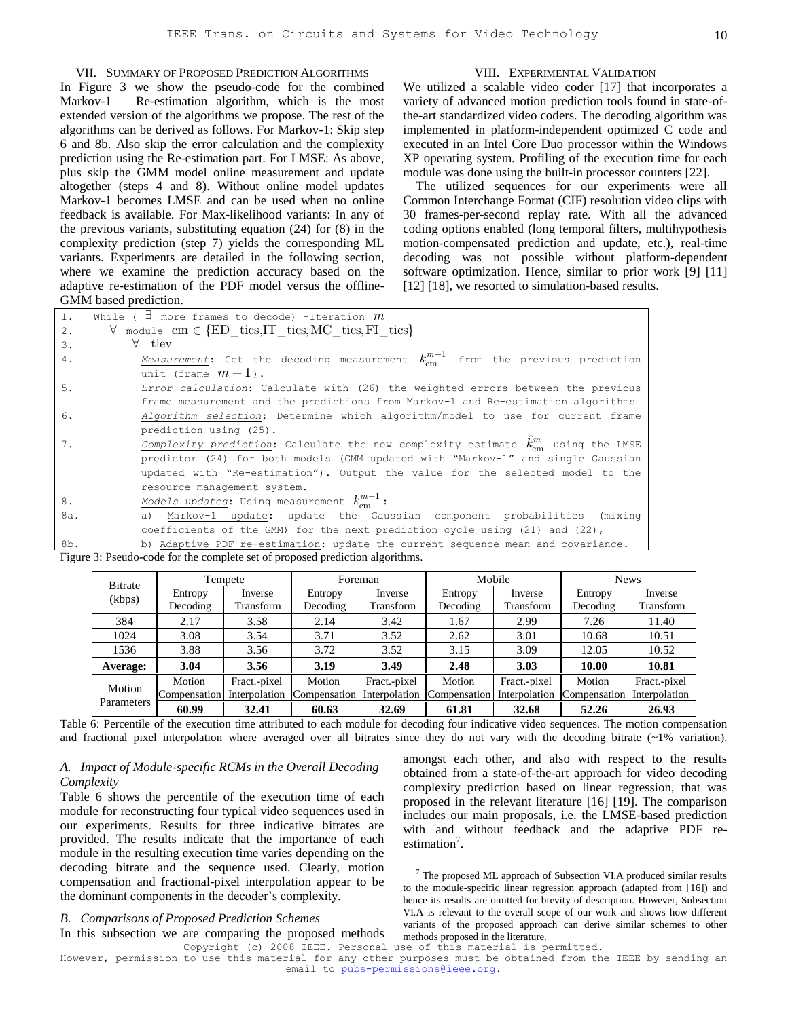## VII. SUMMARY OF PROPOSED PREDICTION ALGORITHMS

In Figure 3 we show the pseudo-code for the combined Markov-1 – Re-estimation algorithm, which is the most extended version of the algorithms we propose. The rest of the algorithms can be derived as follows. For Markov-1: Skip step 6 and 8b. Also skip the error calculation and the complexity prediction using the Re-estimation part. For LMSE: As above, plus skip the GMM model online measurement and update altogether (steps 4 and 8). Without online model updates Markov-1 becomes LMSE and can be used when no online feedback is available. For Max-likelihood variants: In any of the previous variants, substituting equation (24) for (8) in the complexity prediction (step 7) yields the corresponding ML variants. Experiments are detailed in the following section, where we examine the prediction accuracy based on the adaptive re-estimation of the PDF model versus the offline-GMM based prediction.

We utilized a scalable video coder [17] that incorporates a variety of advanced motion prediction tools found in state-ofthe-art standardized video coders. The decoding algorithm was implemented in platform-independent optimized C code and executed in an Intel Core Duo processor within the Windows XP operating system. Profiling of the execution time for each module was done using the built-in processor counters [22].

The utilized sequences for our experiments were all Common Interchange Format (CIF) resolution video clips with 30 frames-per-second replay rate. With all the advanced coding options enabled (long temporal filters, multihypothesis motion-compensated prediction and update, etc.), real-time decoding was not possible without platform-dependent software optimization. Hence, similar to prior work [9] [11] [12] [18], we resorted to simulation-based results.

| 1.    | While ( $\exists$ more frames to decode) -Iteration $m$                                         |
|-------|-------------------------------------------------------------------------------------------------|
| $2$ . | $\forall$ module cm $\in$ {ED tics, IT tics, MC tics, FI tics}                                  |
| 3.    | $\forall$ tlev                                                                                  |
| 4.    | Measurement: Get the decoding measurement $k_{cm}^{m-1}$ from the previous prediction           |
|       | unit (frame $m-1$ ).                                                                            |
| 5.    | Error calculation: Calculate with (26) the weighted errors between the previous                 |
|       | frame measurement and the predictions from Markov-1 and Re-estimation algorithms                |
| 6.    | Algorithm selection: Determine which algorithm/model to use for current frame                   |
|       | prediction using (25).                                                                          |
| 7.    | Complexity prediction: Calculate the new complexity estimate $\ddot{k}_{cm}^{m}$ using the LMSE |
|       | predictor (24) for both models (GMM updated with "Markov-1" and single Gaussian                 |
|       | updated with "Re-estimation"). Output the value for the selected model to the                   |
|       | resource management system.                                                                     |
| 8.    | Models updates: Using measurement $k_{cm}^{m-1}$ :                                              |
| 8a.   | a) Markov-1 update: update the Gaussian component probabilities (mixing                         |
|       | coefficients of the GMM) for the next prediction cycle using $(21)$ and $(22)$ ,                |
| 8b.   | b) Adaptive PDF re-estimation: update the current sequence mean and covariance.                 |

Figure 3: Pseudo-code for the complete set of proposed prediction algorithms.

| <b>B</b> itrate      |              | Tempete       |              | Foreman       |              | Mobile        |              | <b>News</b>   |
|----------------------|--------------|---------------|--------------|---------------|--------------|---------------|--------------|---------------|
| (kbps)               | Entropy      | Inverse       | Entropy      | Inverse       | Entropy      | Inverse       | Entropy      | Inverse       |
|                      | Decoding     | Transform     | Decoding     | Transform     | Decoding     | Transform     | Decoding     | Transform     |
| 384                  | 2.17         | 3.58          | 2.14         | 3.42          | 1.67         | 2.99          | 7.26         | 11.40         |
| 1024                 | 3.08         | 3.54          | 3.71         | 3.52          | 2.62         | 3.01          | 10.68        | 10.51         |
| 1536                 | 3.88         | 3.56          | 3.72         | 3.52          | 3.15         | 3.09          | 12.05        | 10.52         |
| Average:             | 3.04         | 3.56          | 3.19         | 3.49          | 2.48         | 3.03          | 10.00        | 10.81         |
|                      | Motion       | Fract.-pixel  | Motion       | Fract.-pixel  | Motion       | Fract.-pixel  | Motion       | Fract.-pixel  |
| Motion<br>Parameters | Compensation | Interpolation | Compensation | Interpolation | Compensation | Interpolation | Compensation | Interpolation |
|                      | 60.99        | 32.41         | 60.63        | 32.69         | 61.81        | 32.68         | 52.26        | 26.93         |

Table 6: Percentile of the execution time attributed to each module for decoding four indicative video sequences. The motion compensation and fractional pixel interpolation where averaged over all bitrates since they do not vary with the decoding bitrate  $($  ~1% variation).

## *A. Impact of Module-specific RCMs in the Overall Decoding Complexity*

Table 6 shows the percentile of the execution time of each module for reconstructing four typical video sequences used in our experiments. Results for three indicative bitrates are provided. The results indicate that the importance of each module in the resulting execution time varies depending on the decoding bitrate and the sequence used. Clearly, motion compensation and fractional-pixel interpolation appear to be the dominant components in the decoder's complexity.

## *B. Comparisons of Proposed Prediction Schemes*

In this subsection we are comparing the proposed methods

amongst each other, and also with respect to the results obtained from a state-of-the-art approach for video decoding complexity prediction based on linear regression, that was proposed in the relevant literature [16] [19]. The comparison includes our main proposals, i.e. the LMSE-based prediction with and without feedback and the adaptive PDF reestimation<sup>7</sup>.

 $<sup>7</sup>$  The proposed ML approach of Subsection VI.A produced similar results</sup> to the module-specific linear regression approach (adapted from [16]) and hence its results are omitted for brevity of description. However, Subsection VI.A is relevant to the overall scope of our work and shows how different variants of the proposed approach can derive similar schemes to other methods proposed in the literature.

Copyright (c) 2008 IEEE. Personal use of this material is permitted.

However, permission to use this material for any other purposes must be obtained from the IEEE by sending an email to pubs-permissions@ieee.org.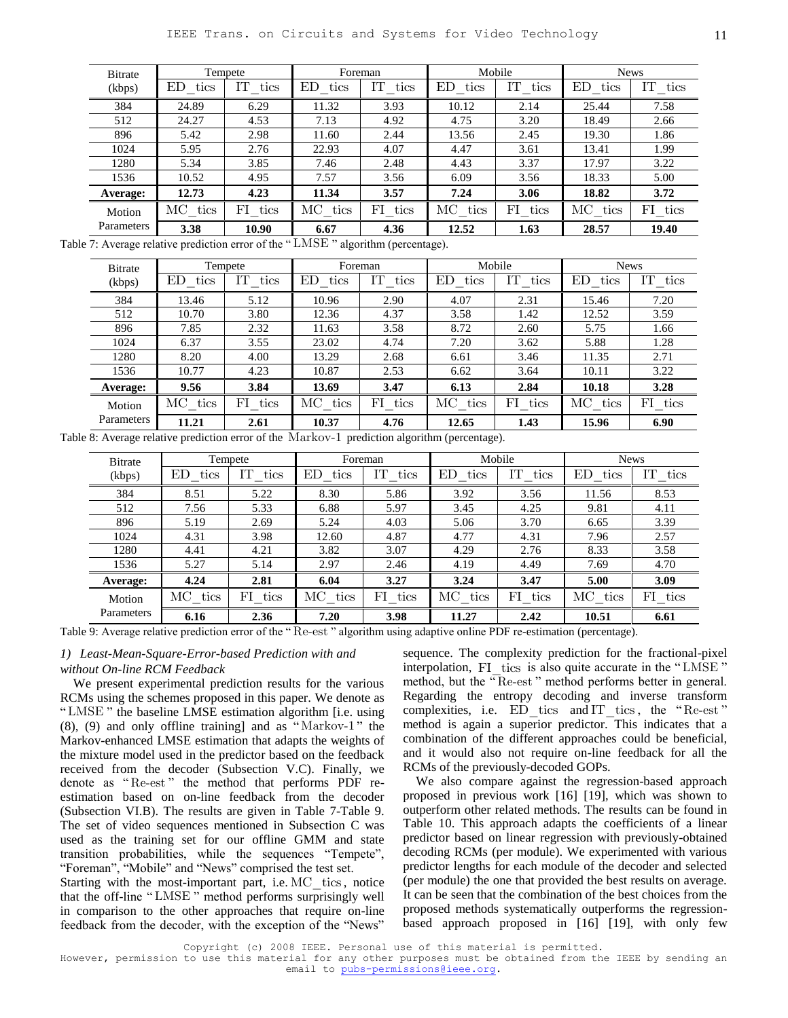| Tempete<br>Bitrate |            | Foreman          |            |              |            | <b>News</b>                                                         |            |
|--------------------|------------|------------------|------------|--------------|------------|---------------------------------------------------------------------|------------|
| ED<br>tics         | IТ<br>tics | ED<br>tics       | IT<br>tics | ED.<br>tics  | IT<br>tics | ED<br>tics                                                          | IT<br>tics |
| 24.89              | 6.29       | 11.32            | 3.93       | 10.12        | 2.14       | 25.44                                                               | 7.58       |
| 24.27              | 4.53       | 7.13             | 4.92       | 4.75         | 3.20       | 18.49                                                               | 2.66       |
| 5.42               | 2.98       | 11.60            | 2.44       | 13.56        | 2.45       | 19.30                                                               | 1.86       |
| 5.95               | 2.76       | 22.93            | 4.07       | 4.47         | 3.61       | 13.41                                                               | 1.99       |
| 5.34               | 3.85       | 7.46             | 2.48       | 4.43         | 3.37       | 17.97                                                               | 3.22       |
| 10.52              | 4.95       | 7.57             | 3.56       | 6.09         | 3.56       | 18.33                                                               | 5.00       |
| 12.73              | 4.23       | 11.34            | 3.57       | 7.24         | 3.06       | 18.82                                                               | 3.72       |
| $\rm MC$<br>tics   | FI<br>tics | $\rm MC$<br>tics | FI tics    | MC -<br>tics | FI<br>tics | MC tics                                                             | FI tics    |
| 3.38               | 10.90      | 6.67             | 4.36       | 12.52        | 1.63       | 28.57                                                               | 19.40      |
|                    | $\sim$     |                  |            |              |            | Mobile<br>$0.4 \times 10^{17}$ MOTI $\sim 1$<br>$\ddotsc$<br>$\sim$ |            |

Table 7: Average relative prediction error of the "LMSE" algorithm (percentage).

| <b>Bitrate</b> | Tempete    |            | Foreman          |            |                          | Mobile     |                  | <b>News</b> |
|----------------|------------|------------|------------------|------------|--------------------------|------------|------------------|-------------|
| (kbps)         | ED<br>tics | IΤ<br>tics | ED<br>tics       | IΤ<br>tics | ED<br>tics               | IΤ<br>tics | ED<br>tics       | IT<br>tics  |
| 384            | 13.46      | 5.12       | 10.96            | 2.90       | 4.07                     | 2.31       | 15.46            | 7.20        |
| 512            | 10.70      | 3.80       | 12.36            | 4.37       | 3.58                     | 1.42       | 12.52            | 3.59        |
| 896            | 7.85       | 2.32       | 11.63            | 3.58       | 8.72                     | 2.60       | 5.75             | 1.66        |
| 1024           | 6.37       | 3.55       | 23.02            | 4.74       | 7.20                     | 3.62       | 5.88             | 1.28        |
| 1280           | 8.20       | 4.00       | 13.29            | 2.68       | 6.61                     | 3.46       | 11.35            | 2.71        |
| 1536           | 10.77      | 4.23       | 10.87            | 2.53       | 6.62                     | 3.64       | 10.11            | 3.22        |
| Average:       | 9.56       | 3.84       | 13.69            | 3.47       | 6.13                     | 2.84       | 10.18            | 3.28        |
| Motion         | МC<br>tics | FI<br>tics | $\rm MC$<br>tics | FI<br>tics | $_{\mathrm{MC}}$<br>tics | FI<br>tics | $\rm MC$<br>tics | FI<br>tics  |
| Parameters     | 11.21      | 2.61       | 10.37<br>$-$     | 4.76       | 12.65                    | 1.43       | 15.96            | 6.90        |

Table 8: Average relative prediction error of the Markov-1 prediction algorithm (percentage).

| <b>Bitrate</b> | Tempete          |            |            | Foreman    |            | Mobile     |            | <b>News</b> |
|----------------|------------------|------------|------------|------------|------------|------------|------------|-------------|
| (kbps)         | ΕD<br>tics       | tics       | ED<br>tics | IΤ<br>tics | ED<br>tics | ĪТ<br>tics | ΕD<br>tics | IТ<br>tics  |
| 384            | 8.51             | 5.22       | 8.30       | 5.86       | 3.92       | 3.56       | 11.56      | 8.53        |
| 512            | 7.56             | 5.33       | 6.88       | 5.97       | 3.45       | 4.25       | 9.81       | 4.11        |
| 896            | 5.19             | 2.69       | 5.24       | 4.03       | 5.06       | 3.70       | 6.65       | 3.39        |
| 1024           | 4.31             | 3.98       | 12.60      | 4.87       | 4.77       | 4.31       | 7.96       | 2.57        |
| 1280           | 4.41             | 4.21       | 3.82       | 3.07       | 4.29       | 2.76       | 8.33       | 3.58        |
| 1536           | 5.27             | 5.14       | 2.97       | 2.46       | 4.19       | 4.49       | 7.69       | 4.70        |
| Average:       | 4.24             | 2.81       | 6.04       | 3.27       | 3.24       | 3.47       | 5.00       | 3.09        |
| Motion         | $\rm MC$<br>tics | FI<br>tics | MС<br>tics | FI<br>tics | MС<br>tics | FI<br>tics | MС<br>tics | FI<br>tics  |
| Parameters     | 6.16             | 2.36       | 7.20       | 3.98       | 11.27      | 2.42       | 10.51      | 6.61        |

Table 9: Average relative prediction error of the "Re-est" algorithm using adaptive online PDF re-estimation (percentage).

## *1) Least-Mean-Square-Error-based Prediction with and without On-line RCM Feedback*

We present experimental prediction results for the various RCMs using the schemes proposed in this paper. We denote as "LMSE" the baseline LMSE estimation algorithm [i.e. using  $(8)$ ,  $(9)$  and only offline training] and as "Markov-1" the Markov-enhanced LMSE estimation that adapts the weights of the mixture model used in the predictor based on the feedback received from the decoder (Subsection V.C). Finally, we denote as "Re-est" the method that performs PDF reestimation based on on-line feedback from the decoder (Subsection VI.B). The results are given in Table 7-Table 9. The set of video sequences mentioned in Subsection [C](#page-3-0) was used as the training set for our offline GMM and state transition probabilities, while the sequences "Tempete", "Foreman", "Mobile" and "News" comprised the test set.

Starting with the most-important part, i.e. MC tics, notice that the off-line "LMSE" method performs surprisingly well in comparison to the other approaches that require on-line feedback from the decoder, with the exception of the "News"

sequence. The complexity prediction for the fractional-pixel interpolation, FI tics is also quite accurate in the "LMSE" method, but the "Re-est" method performs better in general. Regarding the entropy decoding and inverse transform complexities, i.e.  $ED$  tics and IT tics, the "Re-est" method is again a superior predictor. This indicates that a combination of the different approaches could be beneficial, and it would also not require on-line feedback for all the RCMs of the previously-decoded GOPs.

We also compare against the regression-based approach proposed in previous work [16] [19], which was shown to outperform other related methods. The results can be found in Table 10. This approach adapts the coefficients of a linear predictor based on linear regression with previously-obtained decoding RCMs (per module). We experimented with various predictor lengths for each module of the decoder and selected (per module) the one that provided the best results on average. It can be seen that the combination of the best choices from the proposed methods systematically outperforms the regressionbased approach proposed in [16] [19], with only few

Copyright (c) 2008 IEEE. Personal use of this material is permitted.

However, permission to use this material for any other purposes must be obtained from the IEEE by sending an email to pubs-permissions@ieee.org.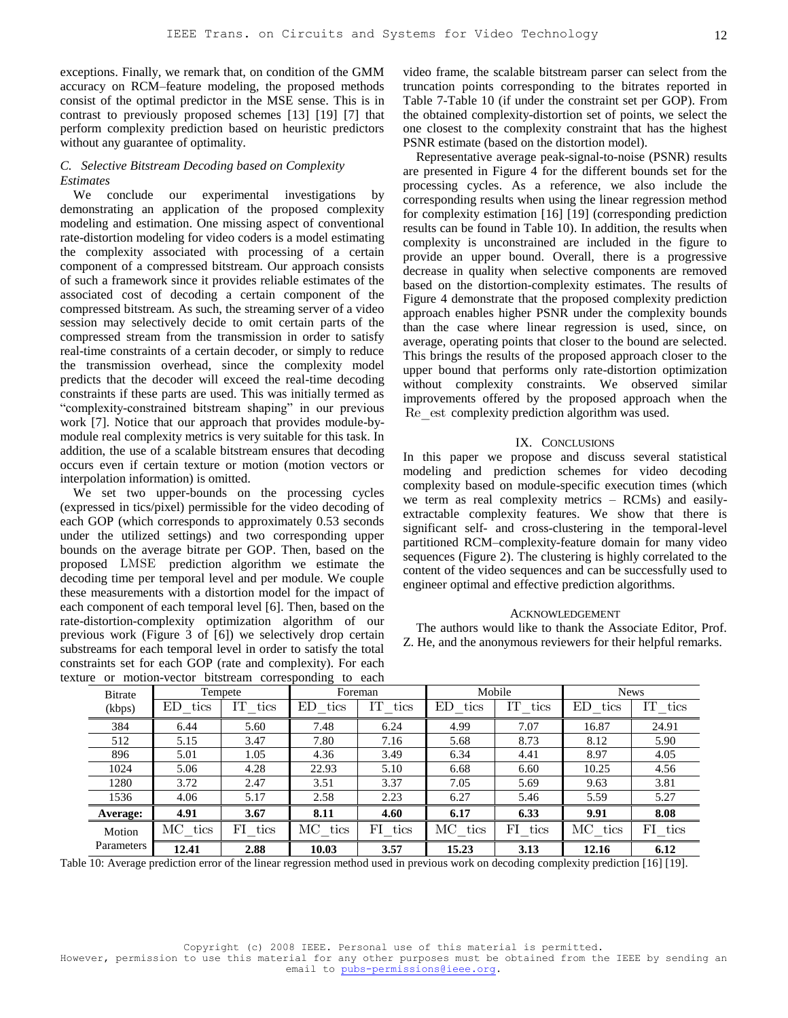exceptions. Finally, we remark that, on condition of the GMM accuracy on RCM–feature modeling, the proposed methods consist of the optimal predictor in the MSE sense. This is in contrast to previously proposed schemes [13] [19] [7] that perform complexity prediction based on heuristic predictors without any guarantee of optimality.

## *C. Selective Bitstream Decoding based on Complexity Estimates*

We conclude our experimental investigations by demonstrating an application of the proposed complexity modeling and estimation. One missing aspect of conventional rate-distortion modeling for video coders is a model estimating the complexity associated with processing of a certain component of a compressed bitstream. Our approach consists of such a framework since it provides reliable estimates of the associated cost of decoding a certain component of the compressed bitstream. As such, the streaming server of a video session may selectively decide to omit certain parts of the compressed stream from the transmission in order to satisfy real-time constraints of a certain decoder, or simply to reduce the transmission overhead, since the complexity model predicts that the decoder will exceed the real-time decoding constraints if these parts are used. This was initially termed as "complexity-constrained bitstream shaping" in our previous work [7]. Notice that our approach that provides module-bymodule real complexity metrics is very suitable for this task. In addition, the use of a scalable bitstream ensures that decoding occurs even if certain texture or motion (motion vectors or interpolation information) is omitted.

We set two upper-bounds on the processing cycles (expressed in tics/pixel) permissible for the video decoding of each GOP (which corresponds to approximately 0.53 seconds under the utilized settings) and two corresponding upper bounds on the average bitrate per GOP. Then, based on the proposed LMSE prediction algorithm we estimate the decoding time per temporal level and per module. We couple these measurements with a distortion model for the impact of each component of each temporal level [6]. Then, based on the rate-distortion-complexity optimization algorithm of our previous work (Figure 3 of [6]) we selectively drop certain substreams for each temporal level in order to satisfy the total constraints set for each GOP (rate and complexity). For each texture or motion-vector bitstream corresponding to each

video frame, the scalable bitstream parser can select from the truncation points corresponding to the bitrates reported in Table 7-Table 10 (if under the constraint set per GOP). From the obtained complexity-distortion set of points, we select the one closest to the complexity constraint that has the highest PSNR estimate (based on the distortion model).

Representative average peak-signal-to-noise (PSNR) results are presented in Figure 4 for the different bounds set for the processing cycles. As a reference, we also include the corresponding results when using the linear regression method for complexity estimation [16] [19] (corresponding prediction results can be found in Table 10). In addition, the results when complexity is unconstrained are included in the figure to provide an upper bound. Overall, there is a progressive decrease in quality when selective components are removed based on the distortion-complexity estimates. The results of Figure 4 demonstrate that the proposed complexity prediction approach enables higher PSNR under the complexity bounds than the case where linear regression is used, since, on average, operating points that closer to the bound are selected. This brings the results of the proposed approach closer to the upper bound that performs only rate-distortion optimization without complexity constraints. We observed similar improvements offered by the proposed approach when the Re\_est complexity prediction algorithm was used.

#### IX. CONCLUSIONS

In this paper we propose and discuss several statistical modeling and prediction schemes for video decoding complexity based on module-specific execution times (which we term as real complexity metrics – RCMs) and easilyextractable complexity features. We show that there is significant self- and cross-clustering in the temporal-level partitioned RCM–complexity-feature domain for many video sequences (Figure 2). The clustering is highly correlated to the content of the video sequences and can be successfully used to engineer optimal and effective prediction algorithms.

#### ACKNOWLEDGEMENT

The authors would like to thank the Associate Editor, Prof. Z. He, and the anonymous reviewers for their helpful remarks.

| u v        |             |            | of monon vector busticant corresponding to each |            |            |            |            |             |
|------------|-------------|------------|-------------------------------------------------|------------|------------|------------|------------|-------------|
| Bitrate    |             | Tempete    |                                                 | Foreman    |            | Mobile     |            | <b>News</b> |
| (kbps)     | tics<br>ED. | IТ<br>tics | ED.<br>tics                                     | IT<br>tics | ED<br>tics | IΤ<br>tics | ED<br>tics | IΤ<br>tics  |
| 384        | 6.44        | 5.60       | 7.48                                            | 6.24       | 4.99       | 7.07       | 16.87      | 24.91       |
| 512        | 5.15        | 3.47       | 7.80                                            | 7.16       | 5.68       | 8.73       | 8.12       | 5.90        |
| 896        | 5.01        | 1.05       | 4.36                                            | 3.49       | 6.34       | 4.41       | 8.97       | 4.05        |
| 1024       | 5.06        | 4.28       | 22.93                                           | 5.10       | 6.68       | 6.60       | 10.25      | 4.56        |
| 1280       | 3.72        | 2.47       | 3.51                                            | 3.37       | 7.05       | 5.69       | 9.63       | 3.81        |
| 1536       | 4.06        | 5.17       | 2.58                                            | 2.23       | 6.27       | 5.46       | 5.59       | 5.27        |
| Average:   | 4.91        | 3.67       | 8.11                                            | 4.60       | 6.17       | 6.33       | 9.91       | 8.08        |
| Motion     | MC tics     | FI tics    | MC tics                                         | FI tics    | MC tics    | FI tics    | MC tics    | FI tics     |
| Parameters | 12.41       | 2.88       | 10.03                                           | 3.57       | 15.23      | 3.13       | 12.16      | 6.12        |

Table 10: Average prediction error of the linear regression method used in previous work on decoding complexity prediction [16] [19].